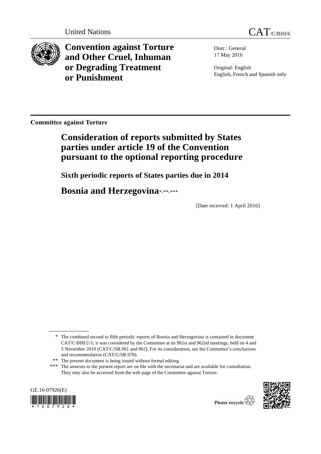

**Convention against Torture and Other Cruel, Inhuman or Degrading Treatment or Punishment**

Distr.: General 17 May 2016

Original: English English, French and Spanish only

**Committee against Torture** 

# **Consideration of reports submitted by States parties under article 19 of the Convention pursuant to the optional reporting procedure**

**Sixth periodic reports of States parties due in 2014**

**Bosnia and Herzegovina**\*,\*\*,\*\*\*

[Date received: 1 April 2016]

<sup>\*\*\*</sup> The annexes to the present report are on file with the secretariat and are available for consultation. They may also be accessed from the web page of the Committee against Torture.





<sup>\*</sup> The combined second to fifth periodic reports of Bosnia and Herzegovina is contained in document CAT/C/BIH/2-5; it was considered by the Committee at its 961st and 962nd meetings, held on 4 and 5 November 2010 (CAT/C/SR.961 and 962). For its consideration, see the Committee's conclusions and recommendation (CAT/C/SR.978).

<sup>\*\*</sup> The present document is being issued without formal editing.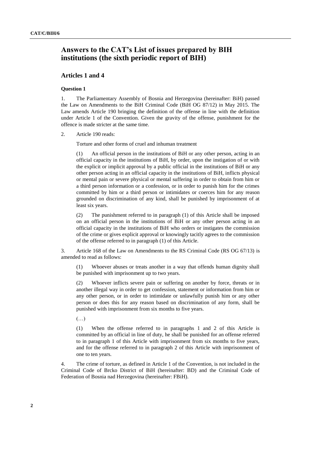## **Answers to the CAT's List of issues prepared by BIH institutions (the sixth periodic report of BIH)**

## **Articles 1 and 4**

## **Question 1**

1. The Parliamentary Assembly of Bosnia and Herzegovina (hereinafter: BiH) passed the Law on Amendments to the BiH Criminal Code (BiH OG 87/12) in May 2015. The Law amends Article 190 bringing the definition of the offense in line with the definition under Article 1 of the Convention. Given the gravity of the offense, punishment for the offence is made stricter at the same time.

2. Article 190 reads:

Torture and other forms of cruel and inhuman treatment

(1) An official person in the institutions of BiH or any other person, acting in an official capacity in the institutions of BiH, by order, upon the instigation of or with the explicit or implicit approval by a public official in the institutions of BiH or any other person acting in an official capacity in the institutions of BiH, inflicts physical or mental pain or severe physical or mental suffering in order to obtain from him or a third person information or a confession, or in order to punish him for the crimes committed by him or a third person or intimidates or coerces him for any reason grounded on discrimination of any kind, shall be punished by imprisonment of at least six years.

(2) The punishment referred to in paragraph (1) of this Article shall be imposed on an official person in the institutions of BiH or any other person acting in an official capacity in the institutions of BiH who orders or instigates the commission of the crime or gives explicit approval or knowingly tacitly agrees to the commission of the offense referred to in paragraph (1) of this Article.

3. Article 168 of the Law on Amendments to the RS Criminal Code (RS OG 67/13) is amended to read as follows:

(1) Whoever abuses or treats another in a way that offends human dignity shall be punished with imprisonment up to two years.

(2) Whoever inflicts severe pain or suffering on another by force, threats or in another illegal way in order to get confession, statement or information from him or any other person, or in order to intimidate or unlawfully punish him or any other person or does this for any reason based on discrimination of any form, shall be punished with imprisonment from six months to five years.

 $(\ldots)$ 

(1) When the offense referred to in paragraphs 1 and 2 of this Article is committed by an official in line of duty, he shall be punished for an offense referred to in paragraph 1 of this Article with imprisonment from six months to five years, and for the offense referred to in paragraph 2 of this Article with imprisonment of one to ten years.

4. The crime of torture, as defined in Article 1 of the Convention, is not included in the Criminal Code of Brcko District of BiH (hereinafter: BD) and the Criminal Code of Federation of Bosnia nad Herzegovina (hereinafter: FBiH).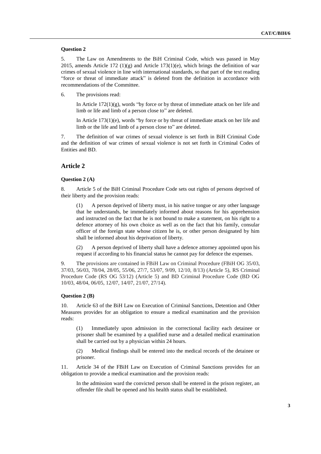## **Question 2**

5. The Law on Amendments to the BiH Criminal Code, which was passed in May 2015, amends Article 172 (1)(g) and Article 173(1)(e), which brings the definition of war crimes of sexual violence in line with international standards, so that part of the text reading "force or threat of immediate attack" is deleted from the definition in accordance with recommendations of the Committee.

6. The provisions read:

In Article  $172(1)(g)$ , words "by force or by threat of immediate attack on her life and limb or life and limb of a person close to" are deleted.

In Article 173(1)(e), words "by force or by threat of immediate attack on her life and limb or the life and limb of a person close to" are deleted.

7. The definition of war crimes of sexual violence is set forth in BiH Criminal Code and the definition of war crimes of sexual violence is not set forth in Criminal Codes of Entities and BD.

## **Article 2**

## **Question 2 (A)**

8. Article 5 of the BiH Criminal Procedure Code sets out rights of persons deprived of their liberty and the provision reads:

(1) A person deprived of liberty must, in his native tongue or any other language that he understands, be immediately informed about reasons for his apprehension and instructed on the fact that he is not bound to make a statement, on his right to a defence attorney of his own choice as well as on the fact that his family, consular officer of the foreign state whose citizen he is, or other person designated by him shall be informed about his deprivation of liberty.

(2) A person deprived of liberty shall have a defence attorney appointed upon his request if according to his financial status he cannot pay for defence the expenses.

9. The provisions are contained in FBiH Law on Criminal Procedure (FBiH OG 35/03, 37/03, 56/03, 78/04, 28/05, 55/06, 27/7, 53/07, 9/09, 12/10, 8/13) (Article 5), RS Criminal Procedure Code (RS OG 53/12) (Article 5) and BD Criminal Procedure Code (BD OG 10/03, 48/04, 06/05, 12/07, 14/07, 21/07, 27/14).

#### **Question 2 (B)**

10. Article 63 of the BiH Law on Execution of Criminal Sanctions, Detention and Other Measures provides for an obligation to ensure a medical examination and the provision reads:

(1) Immediately upon admission in the correctional facility each detainee or prisoner shall be examined by a qualified nurse and a detailed medical examination shall be carried out by a physician within 24 hours.

(2) Medical findings shall be entered into the medical records of the detainee or prisoner.

11. Article 34 of the FBiH Law on Execution of Criminal Sanctions provides for an obligation to provide a medical examination and the provision reads:

In the admission ward the convicted person shall be entered in the prison register, an offender file shall be opened and his health status shall be established.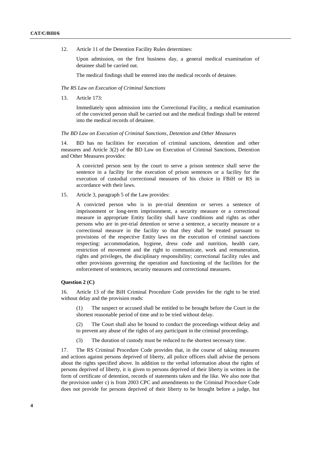12. Article 11 of the Detention Facility Rules determines:

Upon admission, on the first business day, a general medical examination of detainee shall be carried out.

The medical findings shall be entered into the medical records of detainee.

## *The RS Law on Execution of Criminal Sanctions*

13. Article 173:

Immediately upon admission into the Correctional Facility, a medical examination of the convicted person shall be carried out and the medical findings shall be entered into the medical records of detainee.

## *The BD Law on Execution of Criminal Sanctions, Detention and Other Measures*

14. BD has no facilities for execution of criminal sanctions, detention and other measures and Article 3(2) of the BD Law on Execution of Criminal Sanctions, Detention and Other Measures provides:

A convicted person sent by the court to serve a prison sentence shall serve the sentence in a facility for the execution of prison sentences or a facility for the execution of custodial correctional measures of his choice in FBiH or RS in accordance with their laws.

15. Article 3, paragraph 5 of the Law provides:

A convicted person who is in pre-trial detention or serves a sentence of imprisonment or long-term imprisonment, a security measure or a correctional measure in appropriate Entity facility shall have conditions and rights as other persons who are in pre-trial detention or serve a sentence, a security measure or a correctional measure in the facility so that they shall be treated pursuant to provisions of the respective Entity laws on the execution of criminal sanctions respecting: accommodation, hygiene, dress code and nutrition, health care, restriction of movement and the right to communicate, work and remuneration, rights and privileges, the disciplinary responsibility; correctional facility rules and other provisions governing the operation and functioning of the facilities for the enforcement of sentences, security measures and correctional measures.

## **Question 2 (C)**

16. Article 13 of the BiH Criminal Procedure Code provides for the right to be tried without delay and the provision reads:

(1) The suspect or accused shall be entitled to be brought before the Court in the shortest reasonable period of time and to be tried without delay.

(2) The Court shall also be bound to conduct the proceedings without delay and to prevent any abuse of the rights of any participant in the criminal proceedings.

(3) The duration of custody must be reduced to the shortest necessary time.

17. The RS Criminal Procedure Code provides that, in the course of taking measures and actions against persons deprived of liberty, all police officers shall advise the persons about the rights specified above. In addition to the verbal information about the rights of persons deprived of liberty, it is given to persons deprived of their liberty in written in the form of certificate of detention, records of statements taken and the like. We also note that the provision under c) is from 2003 CPC and amendments to the Criminal Procedure Code does not provide for persons deprived of their liberty to be brought before a judge, but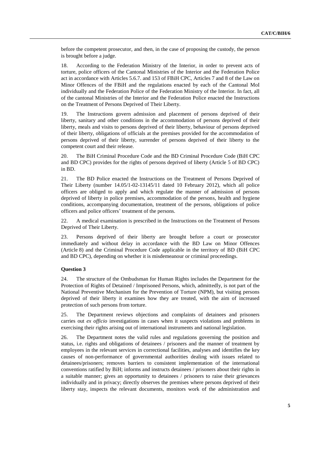before the competent prosecutor, and then, in the case of proposing the custody, the person is brought before a judge.

18. According to the Federation Ministry of the Interior, in order to prevent acts of torture, police officers of the Cantonal Ministries of the Interior and the Federation Police act in accordance with Articles 5.6.7. and 153 of FBiH CPC, Articles 7 and 8 of the Law on Minor Offences of the FBiH and the regulations enacted by each of the Cantonal MoI individually and the Federation Police of the Federation Ministry of the Interior. In fact, all of the cantonal Ministries of the Interior and the Federation Police enacted the Instructions on the Treatment of Persons Deprived of Their Liberty.

19. The Instructions govern admission and placement of persons deprived of their liberty, sanitary and other conditions in the accommodation of persons deprived of their liberty, meals and visits to persons deprived of their liberty, behaviour of persons deprived of their liberty, obligations of officials at the premises provided for the accommodation of persons deprived of their liberty, surrender of persons deprived of their liberty to the competent court and their release.

20. The BiH Criminal Procedure Code and the BD Criminal Procedure Code (BiH CPC and BD CPC) provides for the rights of persons deprived of liberty (Article 5 of BD CPC) in BD.

21. The BD Police enacted the Instructions on the Treatment of Persons Deprived of Their Liberty (number 14.05/1-02-13145/11 dated 10 February 2012), which all police officers are obliged to apply and which regulate the manner of admission of persons deprived of liberty in police premises, accommodation of the persons, health and hygiene conditions, accompanying documentation, treatment of the persons, obligations of police officers and police officers' treatment of the persons.

22. A medical examination is prescribed in the Instructions on the Treatment of Persons Deprived of Their Liberty.

23. Persons deprived of their liberty are brought before a court or prosecutor immediately and without delay in accordance with the BD Law on Minor Offences (Article 8) and the Criminal Procedure Code applicable in the territory of BD (BiH CPC and BD CPC), depending on whether it is misdemeanour or criminal proceedings.

## **Question 3**

24. The structure of the Ombudsman for Human Rights includes the Department for the Protection of Rights of Detained / Imprisoned Persons, which, admittedly, is not part of the National Preventive Mechanism for the Prevention of Torture (NPM), but visiting persons deprived of their liberty it examines how they are treated, with the aim of increased protection of such persons from torture.

25. The Department reviews objections and complaints of detainees and prisoners carries out *ex officio* investigations in cases when it suspects violations and problems in exercising their rights arising out of international instruments and national legislation.

26. The Department notes the valid rules and regulations governing the position and status, i.e. rights and obligations of detainees / prisoners and the manner of treatment by employees in the relevant services in correctional facilities, analyses and identifies the key causes of non-performance of governmental authorities dealing with issues related to detainees/prisoners; removes barriers to consistent implementation of the international conventions ratified by BiH; informs and instructs detainees / prisoners about their rights in a suitable manner; gives an opportunity to detainees / prisoners to raise their grievances individually and in privacy; directly observes the premises where persons deprived of their liberty stay, inspects the relevant documents, monitors work of the administration and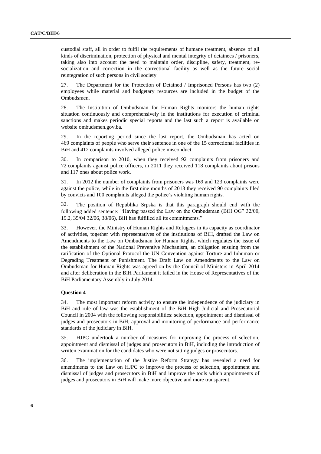custodial staff, all in order to fulfil the requirements of humane treatment, absence of all kinds of discrimination, protection of physical and mental integrity of detainees / prisoners, taking also into account the need to maintain order, discipline, safety, treatment, resocialization and correction in the correctional facility as well as the future social reintegration of such persons in civil society.

27. The Department for the Protection of Detained / Imprisoned Persons has two (2) employees while material and budgetary resources are included in the budget of the Ombudsmen.

28. The Institution of Ombudsman for Human Rights monitors the human rights situation continuously and comprehensively in the institutions for execution of criminal sanctions and makes periodic special reports and the last such a report is available on website ombudsmen.gov.ba.

29. In the reporting period since the last report, the Ombudsman has acted on 469 complaints of people who serve their sentence in one of the 15 correctional facilities in BiH and 412 complaints involved alleged police misconduct.

30. In comparison to 2010, when they received 92 complaints from prisoners and 72 complaints against police officers, in 2011 they received 118 complaints about prisons and 117 ones about police work.

31. In 2012 the number of complaints from prisoners was 169 and 123 complaints were against the police, while in the first nine months of 2013 they received 90 complaints filed by convicts and 100 complaints alleged the police's violating human rights.

32. The position of Republika Srpska is that this paragraph should end with the following added sentence: "Having passed the Law on the Ombudsman (BiH OG" 32/00, 19.2, 35/04 32/06, 38/06), BiH has fulfilled all its commitments."

33. However, the Ministry of Human Rights and Refugees in its capacity as coordinator of activities, together with representatives of the institutions of BiH, drafted the Law on Amendments to the Law on Ombudsman for Human Rights, which regulates the issue of the establishment of the National Preventive Mechanism, an obligation ensuing from the ratification of the Optional Protocol the UN Convention against Torture and Inhuman or Degrading Treatment or Punishment. The Draft Law on Amendments to the Law on Ombudsman for Human Rights was agreed on by the Council of Ministers in April 2014 and after deliberation in the BiH Parliament it failed in the House of Representatives of the BiH Parliamentary Assembly in July 2014.

## **Question 4**

34. The most important reform activity to ensure the independence of the judiciary in BiH and rule of law was the establishment of the BiH High Judicial and Prosecutorial Council in 2004 with the following responsibilities: selection, appointment and dismissal of judges and prosecutors in BiH, approval and monitoring of performance and performance standards of the judiciary in BiH.

35. HJPC undertook a number of measures for improving the process of selection, appointment and dismissal of judges and prosecutors in BiH, including the introduction of written examination for the candidates who were not sitting judges or prosecutors.

36. The implementation of the Justice Reform Strategy has revealed a need for amendments to the Law on HJPC to improve the process of selection, appointment and dismissal of judges and prosecutors in BiH and improve the tools which appointments of judges and prosecutors in BiH will make more objective and more transparent.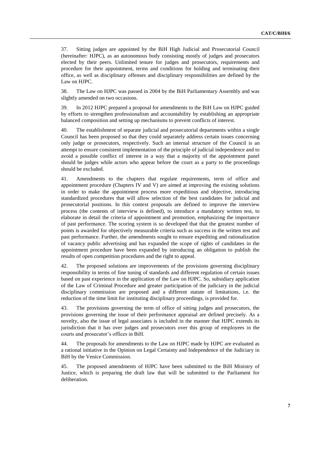37. Sitting judges are appointed by the BiH High Judicial and Prosecutorial Council (hereinafter: HJPC), as an autonomous body consisting mostly of judges and prosecutors elected by their peers. Unlimited tenure for judges and prosecutors, requirements and procedure for their appointment, terms and conditions for holding and terminating their office, as well as disciplinary offenses and disciplinary responsibilities are defined by the Law on HJPC.

38. The Law on HJPC was passed in 2004 by the BiH Parliamentary Assembly and was slightly amended on two occasions.

39. In 2012 HJPC prepared a proposal for amendments to the BiH Law on HJPC guided by efforts to strengthen professionalism and accountability by establishing an appropriate balanced composition and setting up mechanisms to prevent conflicts of interest.

40. The establishment of separate judicial and prosecutorial departments within a single Council has been proposed so that they could separately address certain issues concerning only judge or prosecutors, respectively. Such an internal structure of the Council is an attempt to ensure consistent implementation of the principle of judicial independence and to avoid a possible conflict of interest in a way that a majority of the appointment panel should be judges while actors who appear before the court as a party to the proceedings should be excluded.

41. Amendments to the chapters that regulate requirements, term of office and appointment procedure (Chapters IV and V) are aimed at improving the existing solutions in order to make the appointment process more expeditious and objective, introducing standardized procedures that will allow selection of the best candidates for judicial and prosecutorial positions. In this context proposals are defined to improve the interview process (the contents of interview is defined), to introduce a mandatory written test, to elaborate in detail the criteria of appointment and promotion, emphasizing the importance of past performance. The scoring system is so developed that that the greatest number of points is awarded for objectively measurable criteria such as success in the written test and past performance. Further, the amendments sought to ensure expediting and rationalization of vacancy public advertising and has expanded the scope of rights of candidates in the appointment procedure have been expanded by introducing an obligation to publish the results of open competition procedures and the right to appeal.

42. The proposed solutions are improvements of the provisions governing disciplinary responsibility in terms of fine tuning of standards and different regulation of certain issues based on past experience in the application of the Law on HJPC. So, subsidiary application of the Law of Criminal Procedure and greater participation of the judiciary in the judicial disciplinary commission are proposed and a different statute of limitations, i.e. the reduction of the time limit for instituting disciplinary proceedings, is provided for.

43. The provisions governing the term of office of sitting judges and prosecutors, the provisions governing the issue of their performance appraisal are defined precisely. As a novelty, also the issue of legal associates is included in the manner that HJPC extends its jurisdiction that it has over judges and prosecutors over this group of employees in the courts and prosecutor's offices in BiH.

44. The proposals for amendments to the Law on HJPC made by HJPC are evaluated as a rational initiative in the Opinion on Legal Certainty and Independence of the Judiciary in BiH by the Venice Commission.

45. The proposed amendments of HJPC have been submitted to the BiH Ministry of Justice, which is preparing the draft law that will be submitted to the Parliament for deliberation.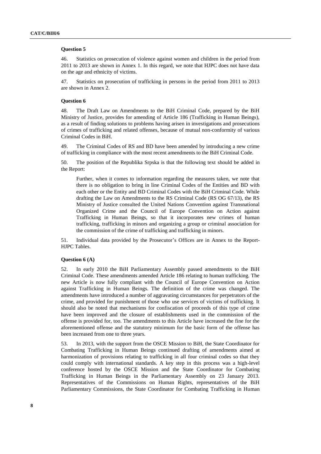#### **Question 5**

46. Statistics on prosecution of violence against women and children in the period from 2011 to 2013 are shown in Annex 1. In this regard, we note that HJPC does not have data on the age and ethnicity of victims.

47. Statistics on prosecution of trafficking in persons in the period from 2011 to 2013 are shown in Annex 2.

#### **Question 6**

48. The Draft Law on Amendments to the BiH Criminal Code, prepared by the BiH Ministry of Justice, provides for amending of Article 186 (Trafficking in Human Beings), as a result of finding solutions to problems having arisen in investigations and prosecutions of crimes of trafficking and related offenses, because of mutual non-conformity of various Criminal Codes in BiH.

49. The Criminal Codes of RS and BD have been amended by introducing a new crime of trafficking in compliance with the most recent amendments to the BiH Criminal Code.

50. The position of the Republika Srpska is that the following text should be added in the Report:

Further, when it comes to information regarding the measures taken, we note that there is no obligation to bring in line Criminal Codes of the Entities and BD with each other or the Entity and BD Criminal Codes with the BiH Criminal Code. While drafting the Law on Amendments to the RS Criminal Code (RS OG 67/13), the RS Ministry of Justice consulted the United Nations Convention against Transnational Organized Crime and the Council of Europe Convention on Action against Trafficking in Human Beings, so that it incorporates new crimes of human trafficking, trafficking in minors and organizing a group or criminal association for the commission of the crime of trafficking and trafficking in minors.

51. Individual data provided by the Prosecutor's Offices are in Annex to the Report-HJPC Tables.

#### **Question 6 (A)**

52. In early 2010 the BiH Parliamentary Assembly passed amendments to the BiH Criminal Code. These amendments amended Article 186 relating to human trafficking. The new Article is now fully compliant with the Council of Europe Convention on Action against Trafficking in Human Beings. The definition of the crime was changed. The amendments have introduced a number of aggravating circumstances for perpetrators of the crime, and provided for punishment of those who use services of victims of trafficking. It should also be noted that mechanisms for confiscation of proceeds of this type of crime have been improved and the closure of establishments used in the commission of the offense is provided for, too. The amendments to this Article have increased the fine for the aforementioned offense and the statutory minimum for the basic form of the offense has been increased from one to three years.

53. In 2013, with the support from the OSCE Mission to BiH, the State Coordinator for Combating Trafficking in Human Beings continued drafting of amendments aimed at harmonization of provisions relating to trafficking in all four criminal codes so that they could comply with international standards. A key step in this process was a high-level conference hosted by the OSCE Mission and the State Coordinator for Combating Trafficking in Human Beings in the Parliamentary Assembly on 23 January 2013. Representatives of the Commissions on Human Rights, representatives of the BiH Parliamentary Commissions, the State Coordinator for Combating Trafficking in Human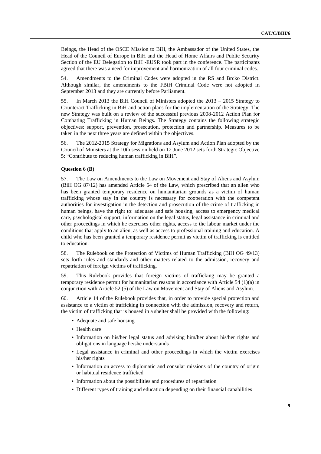Beings, the Head of the OSCE Mission to BiH, the Ambassador of the United States, the Head of the Council of Europe in BiH and the Head of Home Affairs and Public Security Section of the EU Delegation to BiH -EUSR took part in the conference. The participants agreed that there was a need for improvement and harmonization of all four criminal codes.

54. Amendments to the Criminal Codes were adopted in the RS and Brcko District. Although similar, the amendments to the FBiH Criminal Code were not adopted in September 2013 and they are currently before Parliament.

55. In March 2013 the BiH Council of Ministers adopted the 2013 – 2015 Strategy to Counteract Trafficking in BiH and action plans for the implementation of the Strategy. The new Strategy was built on a review of the successful previous 2008-2012 Action Plan for Combating Trafficking in Human Beings. The Strategy contains the following strategic objectives: support, prevention, prosecution, protection and partnership. Measures to be taken in the next three years are defined within the objectives.

56. The 2012-2015 Strategy for Migrations and Asylum and Action Plan adopted by the Council of Ministers at the 10th session held on 12 June 2012 sets forth Strategic Objective 5: "Contribute to reducing human trafficking in BiH".

## **Question 6 (B)**

57. The Law on Amendments to the Law on Movement and Stay of Aliens and Asylum (BiH OG 87/12) has amended Article 54 of the Law, which prescribed that an alien who has been granted temporary residence on humanitarian grounds as a victim of human trafficking whose stay in the country is necessary for cooperation with the competent authorities for investigation in the detection and prosecution of the crime of trafficking in human beings, have the right to: adequate and safe housing, access to emergency medical care, psychological support, information on the legal status, legal assistance in criminal and other proceedings in which he exercises other rights, access to the labour market under the conditions that apply to an alien, as well as access to professional training and education. A child who has been granted a temporary residence permit as victim of trafficking is entitled to education.

58. The Rulebook on the Protection of Victims of Human Trafficking (BiH OG 49/13) sets forth rules and standards and other matters related to the admission, recovery and repatriation of foreign victims of trafficking.

59. This Rulebook provides that foreign victims of trafficking may be granted a temporary residence permit for humanitarian reasons in accordance with Article 54 (1)(a) in conjunction with Article 52 (5) of the Law on Movement and Stay of Aliens and Asylum.

60. Article 14 of the Rulebook provides that, in order to provide special protection and assistance to a victim of trafficking in connection with the admission, recovery and return, the victim of trafficking that is housed in a shelter shall be provided with the following:

- Adequate and safe housing
- Health care
- Information on his/her legal status and advising him/her about his/her rights and obligations in language he/she understands
- Legal assistance in criminal and other proceedings in which the victim exercises his/her rights
- Information on access to diplomatic and consular missions of the country of origin or habitual residence trafficked
- Information about the possibilities and procedures of repatriation
- Different types of training and education depending on their financial capabilities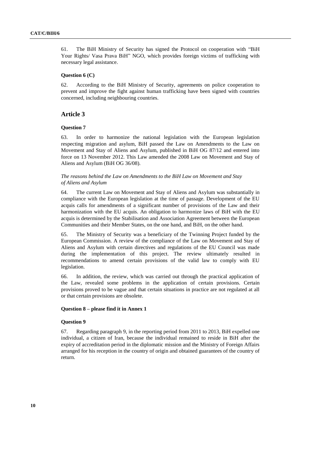61. The BiH Ministry of Security has signed the Protocol on cooperation with "BiH Your Rights/ Vasa Prava BiH" NGO, which provides foreign victims of trafficking with necessary legal assistance.

## **Question 6 (C)**

62. According to the BiH Ministry of Security, agreements on police cooperation to prevent and improve the fight against human trafficking have been signed with countries concerned, including neighbouring countries.

## **Article 3**

## **Question 7**

63. In order to harmonize the national legislation with the European legislation respecting migration and asylum, BiH passed the Law on Amendments to the Law on Movement and Stay of Aliens and Asylum, published in BiH OG 87/12 and entered into force on 13 November 2012. This Law amended the 2008 Law on Movement and Stay of Aliens and Asylum (BiH OG 36/08).

## *The reasons behind the Law on Amendments to the BiH Law on Movement and Stay of Aliens and Asylum*

64. The current Law on Movement and Stay of Aliens and Asylum was substantially in compliance with the European legislation at the time of passage. Development of the EU acquis calls for amendments of a significant number of provisions of the Law and their harmonization with the EU acquis. An obligation to harmonize laws of BiH with the EU acquis is determined by the Stabilisation and Association Agreement between the European Communities and their Member States, on the one hand, and BiH, on the other hand.

65. The Ministry of Security was a beneficiary of the Twinning Project funded by the European Commission. A review of the compliance of the Law on Movement and Stay of Aliens and Asylum with certain directives and regulations of the EU Council was made during the implementation of this project. The review ultimately resulted in recommendations to amend certain provisions of the valid law to comply with EU legislation.

66. In addition, the review, which was carried out through the practical application of the Law, revealed some problems in the application of certain provisions. Certain provisions proved to be vague and that certain situations in practice are not regulated at all or that certain provisions are obsolete.

## **Question 8 – please find it in Annex 1**

#### **Question 9**

67. Regarding paragraph 9, in the reporting period from 2011 to 2013, BiH expelled one individual, a citizen of Iran, because the individual remained to reside in BiH after the expiry of accreditation period in the diplomatic mission and the Ministry of Foreign Affairs arranged for his reception in the country of origin and obtained guarantees of the country of return.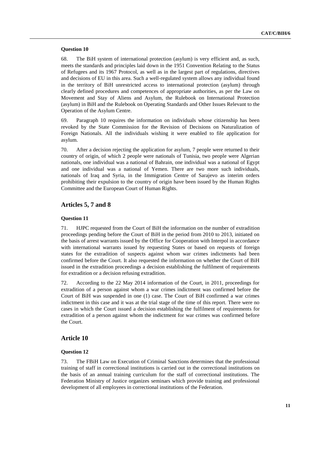## **Question 10**

68. The BiH system of international protection (asylum) is very efficient and, as such, meets the standards and principles laid down in the 1951 Convention Relating to the Status of Refugees and its 1967 Protocol, as well as in the largest part of regulations, directives and decisions of EU in this area. Such a well-regulated system allows any individual found in the territory of BiH unrestricted access to international protection (asylum) through clearly defined procedures and competences of appropriate authorities, as per the Law on Movement and Stay of Aliens and Asylum, the Rulebook on International Protection (asylum) in BiH and the Rulebook on Operating Standards and Other Issues Relevant to the Operation of the Asylum Centre.

69. Paragraph 10 requires the information on individuals whose citizenship has been revoked by the State Commission for the Revision of Decisions on Naturalization of Foreign Nationals. All the individuals wishing it were enabled to file application for asylum.

70. After a decision rejecting the application for asylum, 7 people were returned to their country of origin, of which 2 people were nationals of Tunisia, two people were Algerian nationals, one individual was a national of Bahrain, one individual was a national of Egypt and one individual was a national of Yemen. There are two more such individuals, nationals of Iraq and Syria, in the Immigration Centre of Sarajevo as interim orders prohibiting their expulsion to the country of origin have been issued by the Human Rights Committee and the European Court of Human Rights.

## **Articles 5, 7 and 8**

## **Question 11**

71. HJPC requested from the Court of BiH the information on the number of extradition proceedings pending before the Court of BiH in the period from 2010 to 2013, initiated on the basis of arrest warrants issued by the Office for Cooperation with Interpol in accordance with international warrants issued by requesting States or based on requests of foreign states for the extradition of suspects against whom war crimes indictments had been confirmed before the Court. It also requested the information on whether the Court of BiH issued in the extradition proceedings a decision establishing the fulfilment of requirements for extradition or a decision refusing extradition.

72. According to the 22 May 2014 information of the Court, in 2011, proceedings for extradition of a person against whom a war crimes indictment was confirmed before the Court of BiH was suspended in one (1) case. The Court of BiH confirmed a war crimes indictment in this case and it was at the trial stage of the time of this report. There were no cases in which the Court issued a decision establishing the fulfilment of requirements for extradition of a person against whom the indictment for war crimes was confirmed before the Court.

## **Article 10**

## **Question 12**

73. The FBiH Law on Execution of Criminal Sanctions determines that the professional training of staff in correctional institutions is carried out in the correctional institutions on the basis of an annual training curriculum for the staff of correctional institutions. The Federation Ministry of Justice organizes seminars which provide training and professional development of all employees in correctional institutions of the Federation.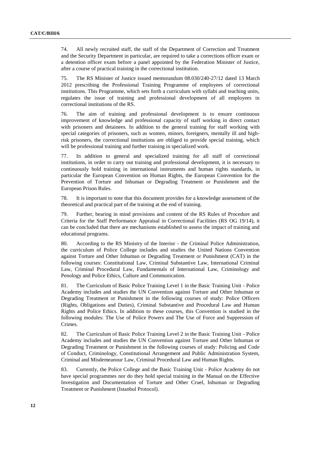74. All newly recruited staff, the staff of the Department of Correction and Treatment and the Security Department in particular, are required to take a corrections officer exam or a detention officer exam before a panel appointed by the Federation Minister of Justice, after a course of practical training in the correctional institution.

75. The RS Minister of Justice issued memorandum 08.030/240-27/12 dated 13 March 2012 prescribing the Professional Training Programme of employees of correctional institutions. This Programme, which sets forth a curriculum with syllabi and teaching units, regulates the issue of training and professional development of all employees in correctional institutions of the RS.

76. The aim of training and professional development is to ensure continuous improvement of knowledge and professional capacity of staff working in direct contact with prisoners and detainees. In addition to the general training for staff working with special categories of prisoners, such as women, minors, foreigners, mentally ill and highrisk prisoners, the correctional institutions are obliged to provide special training, which will be professional training and further training in specialized work.

77. In addition to general and specialized training for all staff of correctional institutions, in order to carry out training and professional development, it is necessary to continuously hold training in international instruments and human rights standards, in particular the European Convention on Human Rights, the European Convention for the Prevention of Torture and Inhuman or Degrading Treatment or Punishment and the European Prison Rules.

78. It is important to note that this document provides for a knowledge assessment of the theoretical and practical part of the training at the end of training.

79. Further, bearing in mind provisions and content of the RS Rules of Procedure and Criteria for the Staff Performance Appraisal in Correctional Facilities (RS OG 19/14), it can be concluded that there are mechanisms established to assess the impact of training and educational programs.

80. According to the RS Ministry of the Interior - the Criminal Police Administration, the curriculum of Police College includes and studies the United Nations Convention against Torture and Other Inhuman or Degrading Treatment or Punishment (CAT) in the following courses: Constitutional Law, Criminal Substantive Law, International Criminal Law, Criminal Procedural Law, Fundamentals of International Law, Criminology and Penology and Police Ethics, Culture and Communication.

81. The Curriculum of Basic Police Training Level 1 in the Basic Training Unit - Police Academy includes and studies the UN Convention against Torture and Other Inhuman or Degrading Treatment or Punishment in the following courses of study: Police Officers (Rights, Obligations and Duties), Criminal Substantive and Procedural Law and Human Rights and Police Ethics. In addition to these courses, this Convention is studied in the following modules: The Use of Police Powers and The Use of Force and Suppression of Crimes.

82. The Curriculum of Basic Police Training Level 2 in the Basic Training Unit - Police Academy includes and studies the UN Convention against Torture and Other Inhuman or Degrading Treatment or Punishment in the following courses of study: Policing and Code of Conduct, Criminology, Constitutional Arrangement and Public Administration System, Criminal and Misdemeanour Law, Criminal Procedural Law and Human Rights.

83. Currently, the Police College and the Basic Training Unit - Police Academy do not have special programmes nor do they hold special training in the Manual on the Effective Investigation and Documentation of Torture and Other Cruel, Inhuman or Degrading Treatment or Punishment (Istanbul Protocol).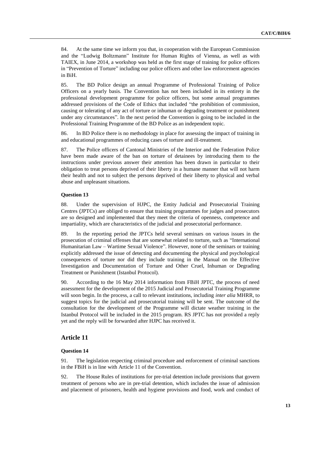84. At the same time we inform you that, in cooperation with the European Commission and the "Ludwig Boltzmann" Institute for Human Rights of Vienna, as well as with TAIEX, in June 2014, a workshop was held as the first stage of training for police officers in "Prevention of Torture" including our police officers and other law enforcement agencies in BiH.

85. The BD Police design an annual Programme of Professional Training of Police Officers on a yearly basis. The Convention has not been included in its entirety in the professional development programme for police officers, but some annual programmes addressed provisions of the Code of Ethics that included "the prohibition of commission, causing or tolerating of any act of torture or inhuman or degrading treatment or punishment under any circumstances". In the next period the Convention is going to be included in the Professional Training Programme of the BD Police as an independent topic.

86. In BD Police there is no methodology in place for assessing the impact of training in and educational programmes of reducing cases of torture and ill-treatment.

87. The Police officers of Cantonal Ministries of the Interior and the Federation Police have been made aware of the ban on torture of detainees by introducing them to the instructions under previous answer their attention has been drawn in particular to their obligation to treat persons deprived of their liberty in a humane manner that will not harm their health and not to subject the persons deprived of their liberty to physical and verbal abuse and unpleasant situations.

## **Question 13**

88. Under the supervision of HJPC, the Entity Judicial and Prosecutorial Training Centres (JPTCs) are obliged to ensure that training programmes for judges and prosecutors are so designed and implemented that they meet the criteria of openness, competence and impartiality, which are characteristics of the judicial and prosecutorial performance.

89. In the reporting period the JPTCs held several seminars on various issues in the prosecution of criminal offenses that are somewhat related to torture, such as "International Humanitarian Law – Wartime Sexual Violence". However, none of the seminars or training explicitly addressed the issue of detecting and documenting the physical and psychological consequences of torture nor did they include training in the Manual on the Effective Investigation and Documentation of Torture and Other Cruel, Inhuman or Degrading Treatment or Punishment (Istanbul Protocol).

90. According to the 16 May 2014 information from FBiH JPTC, the process of need assessment for the development of the 2015 Judicial and Prosecutorial Training Programme will soon begin. In the process, a call to relevant institutions, including *inter alia* MHRR, to suggest topics for the judicial and prosecutorial training will be sent. The outcome of the consultation for the development of the Programme will dictate weather training in the Istanbul Protocol will be included in the 2015 program. RS JPTC has not provided a reply yet and the reply will be forwarded after HJPC has received it.

## **Article 11**

## **Question 14**

91. The legislation respecting criminal procedure and enforcement of criminal sanctions in the FBiH is in line with Article 11 of the Convention.

92. The House Rules of institutions for pre-trial detention include provisions that govern treatment of persons who are in pre-trial detention, which includes the issue of admission and placement of prisoners, health and hygiene provisions and food, work and conduct of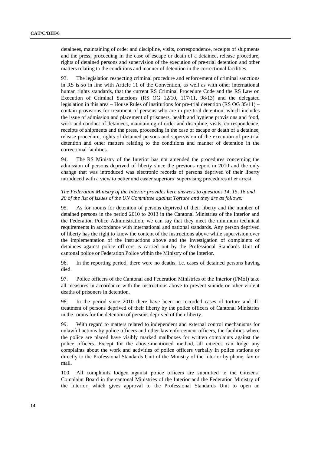detainees, maintaining of order and discipline, visits, correspondence, receipts of shipments and the press, proceeding in the case of escape or death of a detainee, release procedure, rights of detained persons and supervision of the execution of pre-trial detention and other matters relating to the conditions and manner of detention in the correctional facilities.

93. The legislation respecting criminal procedure and enforcement of criminal sanctions in RS is so in line with Article 11 of the Convention, as well as with other international human rights standards, that the current RS Criminal Procedure Code and the RS Law on Execution of Criminal Sanctions (RS OG 12/10, 117/11, 98/13) and the delegated legislation in this area – House Rules of institutions for pre-trial detention (RS OG 35/11) – contain provisions for treatment of persons who are in pre-trial detention, which includes the issue of admission and placement of prisoners, health and hygiene provisions and food, work and conduct of detainees, maintaining of order and discipline, visits, correspondence, receipts of shipments and the press, proceeding in the case of escape or death of a detainee, release procedure, rights of detained persons and supervision of the execution of pre-trial detention and other matters relating to the conditions and manner of detention in the correctional facilities.

94. The RS Ministry of the Interior has not amended the procedures concerning the admission of persons deprived of liberty since the previous report in 2010 and the only change that was introduced was electronic records of persons deprived of their liberty introduced with a view to better and easier superiors' supervising procedures after arrest.

## *The Federation Ministry of the Interior provides here answers to questions 14, 15, 16 and 20 of the list of issues of the UN Committee against Torture and they are as follows:*

95. As for rooms for detention of persons deprived of their liberty and the number of detained persons in the period 2010 to 2013 in the Cantonal Ministries of the Interior and the Federation Police Administration, we can say that they meet the minimum technical requirements in accordance with international and national standards. Any person deprived of liberty has the right to know the content of the instructions above while supervision over the implementation of the instructions above and the investigation of complaints of detainees against police officers is carried out by the Professional Standards Unit of cantonal police or Federation Police within the Ministry of the Interior.

96. In the reporting period, there were no deaths, i.e. cases of detained persons having died.

97. Police officers of the Cantonal and Federation Ministries of the Interior (FMoI) take all measures in accordance with the instructions above to prevent suicide or other violent deaths of prisoners in detention.

98. In the period since 2010 there have been no recorded cases of torture and illtreatment of persons deprived of their liberty by the police officers of Cantonal Ministries in the rooms for the detention of persons deprived of their liberty.

99. With regard to matters related to independent and external control mechanisms for unlawful actions by police officers and other law enforcement officers, the facilities where the police are placed have visibly marked mailboxes for written complaints against the police officers. Except for the above-mentioned method, all citizens can lodge any complaints about the work and activities of police officers verbally in police stations or directly to the Professional Standards Unit of the Ministry of the Interior by phone, fax or mail.

100. All complaints lodged against police officers are submitted to the Citizens' Complaint Board in the cantonal Ministries of the Interior and the Federation Ministry of the Interior, which gives approval to the Professional Standards Unit to open an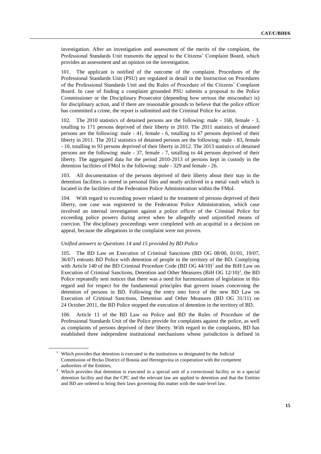investigation. After an investigation and assessment of the merits of the complaint, the Professional Standards Unit transmits the appeal to the Citizens' Complaint Board, which provides an assessment and an opinion on the investigation.

101. The applicant is notified of the outcome of the complaint. Procedures of the Professional Standards Unit (PSU) are regulated in detail in the Instruction on Procedures of the Professional Standards Unit and the Rules of Procedure of the Citizens' Complaint Board. In case of finding a complaint grounded PSU submits a proposal to the Police Commissioner or the Disciplinary Prosecutor (depending how serious the misconduct is) for disciplinary action, and if there are reasonable grounds to believe that the police officer has committed a crime, the report is submitted and the Criminal Police for action.

102. The 2010 statistics of detained persons are the following: male - 168, female - 3, totalling to 171 persons deprived of their liberty in 2010. The 2011 statistics of detained persons are the following: male - 41, female - 6, totalling to 47 persons deprived of their liberty in 2011. The 2012 statistics of detained persons are the following: male - 83, female - 10, totalling to 93 persons deprived of their liberty in 2012. The 2013 statistics of detained persons are the following: male - 37, female - 7, totalling to 44 persons deprived of their liberty. The aggregated data for the period 2010-2013 of persons kept in custody in the detention facilities of FMoI is the following: male - 329 and female - 26.

All documentation of the persons deprived of their liberty about their stay in the detention facilities is stored in personal files and neatly archived in a metal vault which is located in the facilities of the Federation Police Administration within the FMoI.

104. With regard to exceeding power related to the treatment of persons deprived of their liberty, one case was registered in the Federation Police Administration, which case involved an internal investigation against a police officer of the Criminal Police for exceeding police powers during arrest when he allegedly used unjustified means of coercion. The disciplinary proceedings were completed with an acquittal in a decision on appeal, because the allegations in the complaint were not proven.

## *Unified answers to Questions 14 and 15 provided by BD Police*

105. The BD Law on Execution of Criminal Sanctions (BD OG 08/00, 01/01, 19/07, 36/07) entrusts BD Police with detention of people in the territory of the BD. Complying with Article 140 of the BD Criminal Procedure Code  $(BD OG 44/10)^1$  and the BiH Law on Execution of Criminal Sanctions, Detention and Other Measures (BiH OG  $12/10$ )<sup>2</sup>, the BD Police repeatedly sent notices that there was a need for harmonization of legislation in this regard and for respect for the fundamental principles that govern issues concerning the detention of persons in BD. Following the entry into force of the new BD Law on Execution of Criminal Sanctions, Detention and Other Measures (BD OG 31/11) on 24 October 2011, the BD Police stopped the execution of detention in the territory of BD.

106. Article 11 of the BD Law on Police and BD the Rules of Procedure of the Professional Standards Unit of the Police provide for complaints against the police, as well as complaints of persons deprived of their liberty. With regard to the complaints, BD has established three independent institutional mechanisms whose jurisdiction is defined in

<sup>&</sup>lt;sup>1</sup> Which provides that detention is executed in the institutions so designated by the Judicial Commission of Brcko District of Bosnia and Herzegovina in cooperation with the competent authorities of the Entities;

<sup>&</sup>lt;sup>2</sup> Which provides that detention is executed in a special unit of a correctional facility or in a special detention facility and that the CPC and the relevant law are applied to detention and that the Entities and BD are ordered to bring their laws governing this matter with the state-level law.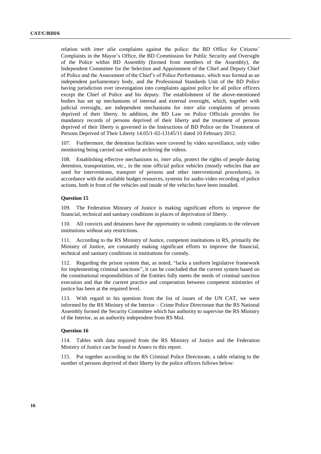relation with *inter alia* complaints against the police: the BD Office for Citizens' Complaints in the Mayor's Office, the BD Commission for Public Security and Oversight of the Police within BD Assembly (formed from members of the Assembly), the Independent Committee for the Selection and Appointment of the Chief and Deputy Chief of Police and the Assessment of the Chief's of Police Performance, which was formed as an independent parliamentary body, and the Professional Standards Unit of the BD Police having jurisdiction over investigation into complaints against police for all police officers except the Chief of Police and his deputy. The establishment of the above-mentioned bodies has set up mechanisms of internal and external oversight, which, together with judicial oversight, are independent mechanisms for *inter alia* complaints of persons deprived of their liberty. In addition, the BD Law on Police Officials provides for mandatory records of persons deprived of their liberty and the treatment of persons deprived of their liberty is governed in the Instructions of BD Police on the Treatment of Persons Deprived of Their Liberty 14.05/1-02-13145/11 dated 10 February 2012.

107. Furthermore, the detention facilities were covered by video surveillance, only video monitoring being carried out without archiving the videos.

108. Establishing effective mechanisms to, *inter alia*, protect the rights of people during detention, transportation, etc., in the nine official police vehicles (mostly vehicles that are used for interventions, transport of persons and other interventional procedures), in accordance with the available budget resources, systems for audio-video recording of police actions, both in front of the vehicles and inside of the vehicles have been installed.

## **Question 15**

109. The Federation Ministry of Justice is making significant efforts to improve the financial, technical and sanitary conditions in places of deprivation of liberty.

110. All convicts and detainees have the opportunity to submit complaints to the relevant institutions without any restrictions.

111. According to the RS Ministry of Justice, competent institutions in RS, primarily the Ministry of Justice, are constantly making significant efforts to improve the financial, technical and sanitary conditions in institutions for custody.

112. Regarding the prison system that, as noted, "lacks a uniform legislative framework for implementing criminal sanctions", it can be concluded that the current system based on the constitutional responsibilities of the Entities fully meets the needs of criminal sanction execution and that the current practice and cooperation between competent ministries of justice has been at the required level.

113. With regard to his question from the list of issues of the UN CAT, we were informed by the RS Ministry of the Interior – Crime Police Directorate that the RS National Assembly formed the Security Committee which has authority to supervise the RS Ministry of the Interior, as an authority independent from RS MoI.

## **Question 16**

114. Tables with data required from the RS Ministry of Justice and the Federation Ministry of Justice can be found in Annex to this report.

115. Put together according to the RS Criminal Police Directorate, a table relating to the number of persons deprived of their liberty by the police officers follows below: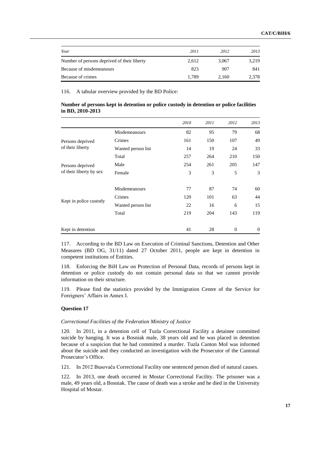| Year                                        | 2011  | 2012  | 2013  |
|---------------------------------------------|-------|-------|-------|
| Number of persons deprived of their liberty | 2.612 | 3.067 | 3,219 |
| Because of misdemeanours                    | 823   | 907   | 841   |
| Because of crimes                           | 1.789 | 2.160 | 2,378 |

116. A tabular overview provided by the BD Police:

| Number of persons kept in detention or police custody in detention or police facilities |  |  |  |  |
|-----------------------------------------------------------------------------------------|--|--|--|--|
| in BD, $2010 - 2013$                                                                    |  |  |  |  |

|                                             |                    | 2010 | 2011 | 2012         | 2013         |
|---------------------------------------------|--------------------|------|------|--------------|--------------|
| Persons deprived<br>of their liberty        | Misdemeanours      | 82   | 95   | 79           | 68           |
|                                             | Crimes             | 161  | 150  | 107          | 49           |
|                                             | Wanted person list | 14   | 19   | 24           | 33           |
|                                             | Total              | 257  | 264  | 210          | 150          |
| Persons deprived<br>of their liberty by sex | Male               | 254  | 261  | 205          | 147          |
|                                             | Female             | 3    | 3    | 5            | 3            |
| Kept in police custody                      | Misdemeanours      | 77   | 87   | 74           | 60           |
|                                             | Crimes             | 120  | 101  | 63           | 44           |
|                                             | Wanted person list | 22   | 16   | 6            | 15           |
|                                             | Total              | 219  | 204  | 143          | 119          |
| Kept in detention                           |                    | 41   | 28   | $\mathbf{0}$ | $\mathbf{0}$ |

117. According to the BD Law on Execution of Criminal Sanctions, Detention and Other Measures (BD OG, 31/11) dated 27 October 2011, people are kept in detention in competent institutions of Entities.

118. Enforcing the BiH Law on Protection of Personal Data, records of persons kept in detention or police custody do not contain personal data so that we cannot provide information on their structure.

119. Please find the statistics provided by the Immigration Centre of the Service for Foreigners' Affairs in Annex I.

## **Question 17**

## *Correctional Facilities of the Federation Ministry of Justice*

120. In 2011, in a detention cell of Tuzla Correctional Facility a detainee committed suicide by hanging. It was a Bosniak male, 38 years old and he was placed in detention because of a suspicion that he had committed a murder. Tuzla Canton MoI was informed about the suicide and they conducted an investigation with the Prosecutor of the Cantonal Prosecutor's Office.

121. In 2012 Busovača Correctional Facility one sentenced person died of natural causes.

122. In 2013, one death occurred in Mostar Correctional Facility. The prisoner was a male, 49 years old, a Bosniak. The cause of death was a stroke and he died in the University Hospital of Mostar.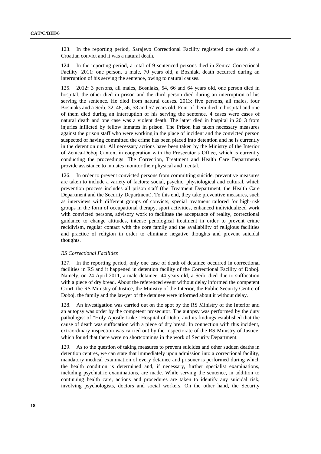123. In the reporting period, Sarajevo Correctional Facility registered one death of a Croatian convict and it was a natural death.

124. In the reporting period, a total of 9 sentenced persons died in Zenica Correctional Facility. 2011: one person, a male, 70 years old, a Bosniak, death occurred during an interruption of his serving the sentence, owing to natural causes.

125. 2012**:** 3 persons, all males, Bosniaks, 54, 66 and 64 years old, one person died in hospital, the other died in prison and the third person died during an interruption of his serving the sentence. He died from natural causes. 2013: five persons, all males, four Bosniaks and a Serb, 32, 48, 56, 58 and 57 years old. Four of them died in hospital and one of them died during an interruption of his serving the sentence. 4 cases were cases of natural death and one case was a violent death. The latter died in hospital in 2013 from injuries inflicted by fellow inmates in prison. The Prison has taken necessary measures against the prison staff who were working in the place of incident and the convicted person suspected of having committed the crime has been placed into detention and he is currently in the detention unit. All necessary actions have been taken by the Ministry of the Interior of Zenica-Doboj Canton, in cooperation with the Prosecutor's Office, which is currently conducting the proceedings. The Correction, Treatment and Health Care Departments provide assistance to inmates monitor their physical and mental.

126. In order to prevent convicted persons from committing suicide, preventive measures are taken to include a variety of factors: social, psychic, physiological and cultural, which prevention process includes all prison staff (the Treatment Department, the Health Care Department and the Security Department). To this end, they take preventive measures, such as interviews with different groups of convicts, special treatment tailored for high-risk groups in the form of occupational therapy, sport activities, enhanced individualized work with convicted persons, advisory work to facilitate the acceptance of reality, correctional guidance to change attitudes, intense penological treatment in order to prevent crime recidivism, regular contact with the core family and the availability of religious facilities and practice of religion in order to eliminate negative thoughts and prevent suicidal thoughts.

#### *RS Correctional Facilities*

127. In the reporting period, only one case of death of detainee occurred in correctional facilities in RS and it happened in detention facility of the Correctional Facility of Doboj. Namely, on 24 April 2011, a male detainee, 44 years old, a Serb, died due to suffocation with a piece of dry bread. About the referenced event without delay informed the competent Court, the RS Ministry of Justice, the Ministry of the Interior, the Public Security Centre of Doboj, the family and the lawyer of the detainee were informed about it without delay.

128. An investigation was carried out on the spot by the RS Ministry of the Interior and an autopsy was order by the competent prosecutor. The autopsy was performed by the duty pathologist of "Holy Apostle Luke" Hospital of Doboj and its findings established that the cause of death was suffocation with a piece of dry bread. In connection with this incident, extraordinary inspection was carried out by the Inspectorate of the RS Ministry of Justice, which found that there were no shortcomings in the work of Security Department.

129. As to the question of taking measures to prevent suicides and other sudden deaths in detention centres, we can state that immediately upon admission into a correctional facility, mandatory medical examination of every detainee and prisoner is performed during which the health condition is determined and, if necessary, further specialist examinations, including psychiatric examinations, are made. While serving the sentence, in addition to continuing health care, actions and procedures are taken to identify any suicidal risk, involving psychologists, doctors and social workers. On the other hand, the Security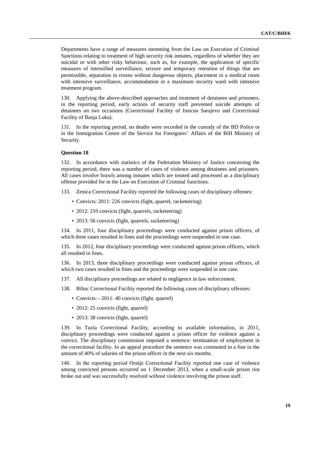Departments have a range of measures stemming from the Law on Execution of Criminal Sanctions relating to treatment of high security risk inmates, regardless of whether they are suicidal or with other risky behaviour, such as, for example, the application of specific measures of intensified surveillance, seizure and temporary retention of things that are permissible, separation in rooms without dangerous objects, placement in a medical room with intensive surveillance, accommodation in a maximum security ward with intensive treatment program.

130. Applying the above-described approaches and treatment of detainees and prisoners, in the reporting period, early actions of security staff prevented suicide attempts of detainees on two occasions (Correctional Facility of Istocno Sarajevo and Correctional Facility of Banja Luka).

131. In the reporting period, no deaths were recorded in the custody of the BD Police or in the Immigration Centre of the Service for Foreigners' Affairs of the BiH Ministry of Security.

#### **Question 18**

132. In accordance with statistics of the Federation Ministry of Justice concerning the reporting period, there was a number of cases of violence among detainees and prisoners. All cases involve brawls among inmates which are treated and processed as a disciplinary offense provided for in the Law on Execution of Criminal Sanctions.

133. Zenica Correctional Facility reported the following cases of disciplinary offenses:

- Convicts: 2011: 226 convicts (fight, quarrel, racketeering)
- 2012: 210 convicts (fight, quarrels, racketeering)
- 2013: 56 convicts (fight, quarrels, racketeering)

134. In 2011, four disciplinary proceedings were conducted against prison officers, of which three cases resulted in fines and the proceedings were suspended in one case.

135. In 2012, four disciplinary proceedings were conducted against prison officers, which all resulted in fines.

136. In 2013, three disciplinary proceedings were conducted against prison officers, of which two cases resulted in fines and the proceedings were suspended in one case.

- 137. All disciplinary proceedings are related to negligence in law enforcement.
- 138. Bihac Correctional Facility reported the following cases of disciplinary offenses:
	- Convicts: 2011: 40 convicts (fight, quarrel)
	- 2012: 25 convicts (fight, quarrel)
	- 2013: 38 convicts (fight, quarrel)

139. In Tuzla Correctional Facility, according to available information, in 2011, disciplinary proceedings were conducted against a prison officer for violence against a convict. The disciplinary commission imposed a sentence: termination of employment in the correctional facility. In an appeal procedure the sentence was commuted to a fine in the amount of 40% of salaries of the prison officer in the next six months.

140. In the reporting period Orašje Correctional Facility reported one case of violence among convicted persons occurred on 1 December 2013, when a small-scale prison riot broke out and was successfully resolved without violence involving the prison staff.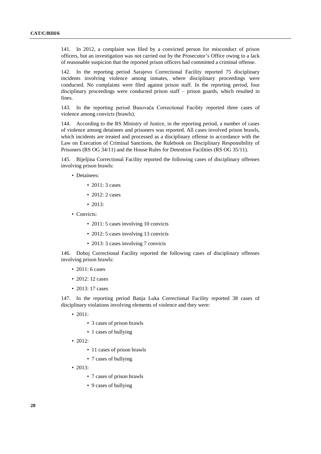141. In 2012, a complaint was filed by a convicted person for misconduct of prison officers, but an investigation was not carried out by the Prosecutor's Office owing to a lack of reasonable suspicion that the reported prison officers had committed a criminal offense.

142. In the reporting period Sarajevo Correctional Facility reported 75 disciplinary incidents involving violence among inmates, where disciplinary proceedings were conducted. No complaints were filed against prison staff. In the reporting period, four disciplinary proceedings were conducted prison staff – prison guards, which resulted in fines.

143. In the reporting period Busovača Correctional Facility reported three cases of violence among convicts (brawls).

144. According to the RS Ministry of Justice, in the reporting period, a number of cases of violence among detainees and prisoners was reported. All cases involved prison brawls, which incidents are treated and processed as a disciplinary offense in accordance with the Law on Execution of Criminal Sanctions, the Rulebook on Disciplinary Responsibility of Prisoners (RS OG 34/11) and the House Rules for Detention Facilities (RS OG 35/11).

145. Bijeljina Correctional Facility reported the following cases of disciplinary offenses involving prison brawls:

- Detainees:
	- 2011: 3 cases
	- 2012: 2 cases
	- 2013:
- Convicts:
	- 2011: 5 cases involving 10 convicts
	- 2012: 5 cases involving 13 convicts
	- 2013: 3 cases involving 7 convicts

146. Doboj Correctional Facility reported the following cases of disciplinary offenses involving prison brawls:

- 2011: 6 cases
- 2012: 12 cases
- 2013: 17 cases

147. In the reporting period Banja Luka Correctional Facility reported 38 cases of disciplinary violations involving elements of violence and they were:

• 2011:

- 3 cases of prison brawls
- 1 cases of bullying
- 2012:
	- 11 cases of prison brawls
	- 7 cases of bullying
- 2013:
	- 7 cases of prison brawls
	- 9 cases of bullying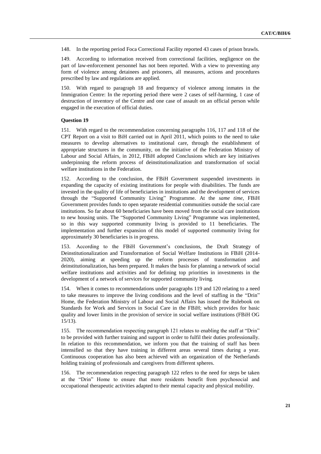148. In the reporting period Foca Correctional Facility reported 43 cases of prison brawls.

149. According to information received from correctional facilities, negligence on the part of law-enforcement personnel has not been reported. With a view to preventing any form of violence among detainees and prisoners, all measures, actions and procedures prescribed by law and regulations are applied.

150. With regard to paragraph 18 and frequency of violence among inmates in the Immigration Centre: In the reporting period there were 2 cases of self-harming, 1 case of destruction of inventory of the Centre and one case of assault on an official person while engaged in the execution of official duties.

## **Question 19**

151. With regard to the recommendation concerning paragraphs 116, 117 and 118 of the CPT Report on a visit to BiH carried out in April 2011, which points to the need to take measures to develop alternatives to institutional care, through the establishment of appropriate structures in the community, on the initiative of the Federation Ministry of Labour and Social Affairs, in 2012, FBiH adopted Conclusions which are key initiatives underpinning the reform process of deinstitutionalization and transformation of social welfare institutions in the Federation.

152. According to the conclusion, the FBiH Government suspended investments in expanding the capacity of existing institutions for people with disabilities. The funds are invested in the quality of life of beneficiaries in institutions and the development of services through the "Supported Community Living" Programme. At the *same time*, FBiH Government provides funds to open separate residential communities outside the social care institutions. So far about 60 beneficiaries have been moved from the social care institutions to new housing units. The "Supported Community Living" Programme was implemented, so in this way supported community living is provided to 11 beneficiaries. The implementation and further expansion of this model of supported community living for approximately 30 beneficiaries is in progress.

153. According to the FBiH Government's conclusions, the Draft Strategy of Deinstitutionalization and Transformation of Social Welfare Institutions in FBiH (2014- 2020), aiming at speeding up the reform processes of transformation and deinstitutionalization, has been prepared. It makes the basis for planning a network of social welfare institutions and activities and for defining top priorities in investments in the development of a network of services for supported community living.

154. When it comes to recommendations under paragraphs 119 and 120 relating to a need to take measures to improve the living conditions and the level of staffing in the "Drin" Home, the Federation Ministry of Labour and Social Affairs has issued the Rulebook on Standards for Work and Services in Social Care in the FBiH; which provides for basic quality and lower limits in the provision of service in social welfare institutions (FBiH OG 15/13).

155. The recommendation respecting paragraph 121 relates to enabling the staff at "Drin" to be provided with further training and support in order to fulfil their duties professionally. In relation to this recommendation, we inform you that the training of staff has been intensified so that they have training in different areas several times during a year. Continuous cooperation has also been achieved with an organization of the Netherlands holding training of professionals and caregivers from different spheres.

156. The recommendation respecting paragraph 122 refers to the need for steps be taken at the "Drin" Home to ensure that more residents benefit from psychosocial and occupational therapeutic activities adapted to their mental capacity and physical mobility.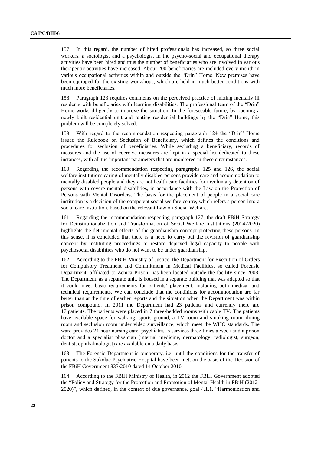157. In this regard, the number of hired professionals has increased, so three social workers, a sociologist and a psychologist in the psycho-social and occupational therapy activities have been hired and thus the number of beneficiaries who are involved in various therapeutic activities have increased. About 200 beneficiaries are included every month in various occupational activities within and outside the "Drin" Home. New premises have been equipped for the existing workshops, which are held in much better conditions with much more beneficiaries.

158. Paragraph 123 requires comments on the perceived practice of mixing mentally ill residents with beneficiaries with learning disabilities. The professional team of the "Drin" Home works diligently to improve the situation. In the foreseeable future, by opening a newly built residential unit and renting residential buildings by the "Drin" Home, this problem will be completely solved.

159. With regard to the recommendation respecting paragraph 124 the "Drin" Home issued the Rulebook on Seclusion of Beneficiary, which defines the conditions and procedures for seclusion of beneficiaries. While secluding a beneficiary, records of measures and the use of coercive measures are kept in a special list dedicated to these instances, with all the important parameters that are monitored in these circumstances.

160. Regarding the recommendation respecting paragraphs 125 and 126, the social welfare institutions caring of mentally disabled persons provide care and accommodation to mentally disabled people and they are not health care facilities for involuntary detention of persons with severe mental disabilities, in accordance with the Law on the Protection of Persons with Mental Disorders. The basis for the placement of people in a social care institution is a decision of the competent social welfare centre, which refers a person into a social care institution, based on the relevant Law on Social Welfare.

161. Regarding the recommendation respecting paragraph 127, the draft FBiH Strategy for Deinstitutionalization and Transformation of Social Welfare Institutions (2014-2020) highlights the detrimental effects of the guardianship concept protecting these persons. In this sense, it is concluded that there is a need to carry out the revision of guardianship concept by instituting proceedings to restore deprived legal capacity to people with psychosocial disabilities who do not want to be under guardianship.

162. According to the FBiH Ministry of Justice, the Department for Execution of Orders for Compulsory Treatment and Commitment in Medical Facilities, so called Forensic Department, affiliated to Zenica Prison, has been located outside the facility since 2008. The Department, as a separate unit, is housed in a separate building that was adapted so that it could meet basic requirements for patients' placement, including both medical and technical requirements. We can conclude that the conditions for accommodation are far better than at the time of earlier reports and the situation when the Department was within prison compound. In 2011 the Department had 23 patients and currently there are 17 patients. The patients were placed in 7 three-bedded rooms with cable TV. The patients have available space for walking, sports ground, a TV room and smoking room, dining room and seclusion room under video surveillance, which meet the WHO standards. The ward provides 24 hour nursing care, psychiatrist's services three times a week and a prison doctor and a specialist physician (internal medicine, dermatology, radiologist, surgeon, dentist, ophthalmologist) are available on a daily basis.

163. The Forensic Department is temporary, i.e. until the conditions for the transfer of patients to the Sokolac Psychiatric Hospital have been met, on the basis of the Decision of the FBiH Government 833/2010 dated 14 October 2010.

164. According to the FBiH Ministry of Health, in 2012 the FBiH Government adopted the "Policy and Strategy for the Protection and Promotion of Mental Health in FBiH (2012- 2020)", which defined, in the context of due governance, goal 4.1.1. "Harmonization and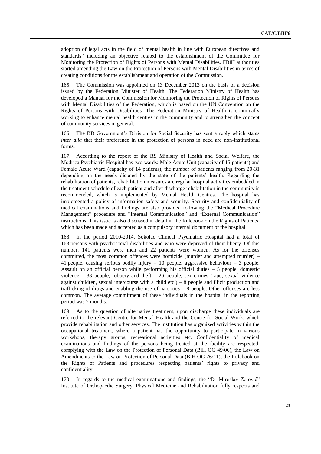adoption of legal acts in the field of mental health in line with European directives and standards" including an objective related to the establishment of the Committee for Monitoring the Protection of Rights of Persons with Mental Disabilities. FBiH authorities started amending the Law on the Protection of Persons with Mental Disabilities in terms of creating conditions for the establishment and operation of the Commission.

165. The Commission was appointed on 13 December 2013 on the basis of a decision issued by the Federation Minister of Health. The Federation Ministry of Health has developed a Manual for the Commission for Monitoring the Protection of Rights of Persons with Mental Disabilities of the Federation, which is based on the UN Convention on the Rights of Persons with Disabilities. The Federation Ministry of Health is continually working to enhance mental health centres in the community and to strengthen the concept of community services in general.

166. The BD Government's Division for Social Security has sent a reply which states *inter alia* that their preference in the protection of persons in need are non-institutional forms.

167. According to the report of the RS Ministry of Health and Social Welfare, the Modrica Psychiatric Hospital has two wards: Male Acute Unit (capacity of 15 patients) and Female Acute Ward (capacity of 14 patients), the number of patients ranging from 20-31 depending on the needs dictated by the state of the patients' health. Regarding the rehabilitation of patients, rehabilitation measures are regular hospital activities embedded in the treatment schedule of each patient and after discharge rehabilitation in the community is recommended, which is implemented by Mental Health Centres. The hospital has implemented a policy of information safety and security. Security and confidentiality of medical examinations and findings are also provided following the "Medical Procedure Management" procedure and "Internal Communication" and "External Communication" instructions. This issue is also discussed in detail in the Rulebook on the Rights of Patients, which has been made and accepted as a compulsory internal document of the hospital.

168. In the period 2010-2014, Sokolac Clinical Psychiatric Hospital had a total of 163 persons with psychosocial disabilities and who were deprived of their liberty. Of this number, 141 patients were men and 22 patients were women. As for the offenses committed, the most common offences were homicide (murder and attempted murder) – 41 people, causing serious bodily injury  $-10$  people, aggressive behaviour  $-3$  people, Assault on an official person while performing his official duties  $-5$  people, domestic violence – 33 people, robbery and theft – 26 people, sex crimes (rape, sexual violence against children, sexual intercourse with a child etc.)  $-8$  people and illicit production and trafficking of drugs and enabling the use of narcotics – 8 people. Other offenses are less common. The average commitment of these individuals in the hospital in the reporting period was 7 months.

169. As to the question of alternative treatment, upon discharge these individuals are referred to the relevant Centre for Mental Health and the Centre for Social Work, which provide rehabilitation and other services. The institution has organized activities within the occupational treatment, where a patient has the opportunity to participate in various workshops, therapy groups, recreational activities etc. Confidentiality of medical examinations and findings of the persons being treated at the facility are respected, complying with the Law on the Protection of Personal Data (BiH OG 49/06), the Law on Amendments to the Law on Protection of Personal Data (BiH OG 76/11), the Rulebook on the Rights of Patients and procedures respecting patients' rights to privacy and confidentiality.

170. In regards to the medical examinations and findings, the "Dr Miroslav Zotović" Institute of Orthopaedic Surgery, Physical Medicine and Rehabilitation fully respects and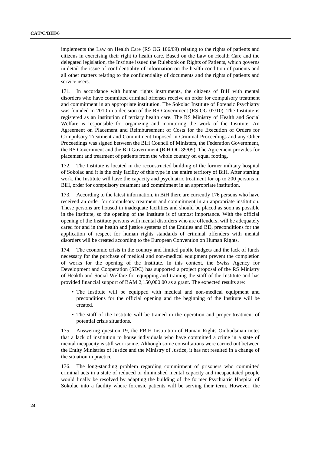implements the Law on Health Care (RS OG 106/09) relating to the rights of patients and citizens in exercising their right to health care. Based on the Law on Health Care and the delegated legislation, the Institute issued the Rulebook on Rights of Patients, which governs in detail the issue of confidentiality of information on the health condition of patients and all other matters relating to the confidentiality of documents and the rights of patients and service users.

171. In accordance with human rights instruments, the citizens of BiH with mental disorders who have committed criminal offenses receive an order for compulsory treatment and commitment in an appropriate institution. The Sokolac Institute of Forensic Psychiatry was founded in 2010 in a decision of the RS Government (RS OG 07/10). The Institute is registered as an institution of tertiary health care. The RS Ministry of Health and Social Welfare is responsible for organizing and monitoring the work of the Institute. An Agreement on Placement and Reimbursement of Costs for the Execution of Orders for Compulsory Treatment and Commitment Imposed in Criminal Proceedings and any Other Proceedings was signed between the BiH Council of Ministers, the Federation Government, the RS Government and the BD Government (BiH OG 89/09). The Agreement provides for placement and treatment of patients from the whole country on equal footing.

172. The Institute is located in the reconstructed building of the former military hospital of Sokolac and it is the only facility of this type in the entire territory of BiH. After starting work, the Institute will have the capacity and psychiatric treatment for up to 200 persons in BiH, order for compulsory treatment and commitment in an appropriate institution.

173. According to the latest information, in BiH there are currently 176 persons who have received an order for compulsory treatment and commitment in an appropriate institution. These persons are housed in inadequate facilities and should be placed as soon as possible in the Institute, so the opening of the Institute is of utmost importance. With the official opening of the Institute persons with mental disorders who are offenders, will be adequately cared for and in the health and justice systems of the Entities and BD, preconditions for the application of respect for human rights standards of criminal offenders with mental disorders will be created according to the European Convention on Human Rights.

174. The economic crisis in the country and limited public budgets and the lack of funds necessary for the purchase of medical and non-medical equipment prevent the completion of works for the opening of the Institute. In this context, the Swiss Agency for Development and Cooperation (SDC) has supported a project proposal of the RS Ministry of Heakth and Social Welfare for equipping and training the staff of the Institute and has provided financial support of BAM 2,150,000.00 as a grant. The expected results are:

- The Institute will be equipped with medical and non-medical equipment and preconditions for the official opening and the beginning of the Institute will be created.
- The staff of the Institute will be trained in the operation and proper treatment of potential crisis situations.

175. Answering question 19, the FBiH Institution of Human Rights Ombudsman notes that a lack of institution to house individuals who have committed a crime in a state of mental incapacity is still worrisome. Although some consultations were carried out between the Entity Ministries of Justice and the Ministry of Justice, it has not resulted in a change of the situation in practice.

176. The long-standing problem regarding commitment of prisoners who committed criminal acts in a state of reduced or diminished mental capacity and incapacitated people would finally be resolved by adapting the building of the former Psychiatric Hospital of Sokolac into a facility where forensic patients will be serving their term. However, the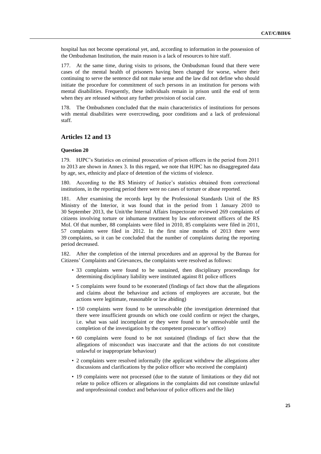hospital has not become operational yet, and, according to information in the possession of the Ombudsman Institution, the main reason is a lack of resources to hire staff.

177. At the same time, during visits to prisons, the Ombudsman found that there were cases of the mental health of prisoners having been changed for worse, where their continuing to serve the sentence did not make sense and the law did not define who should initiate the procedure for commitment of such persons in an institution for persons with mental disabilities. Frequently, these individuals remain in prison until the end of term when they are released without any further provision of social care.

The Ombudsmen concluded that the main characteristics of institutions for persons with mental disabilities were overcrowding, poor conditions and a lack of professional staff.

## **Articles 12 and 13**

## **Question 20**

179. HJPC's Statistics on criminal prosecution of prison officers in the period from 2011 to 2013 are shown in Annex 3. In this regard, we note that HJPC has no disaggregated data by age, sex, ethnicity and place of detention of the victims of violence.

180. According to the RS Ministry of Justice's statistics obtained from correctional institutions, in the reporting period there were no cases of torture or abuse reported.

181. After examining the records kept by the Professional Standards Unit of the RS Ministry of the Interior, it was found that in the period from 1 January 2010 to 30 September 2013, the Unit/the Internal Affairs Inspectorate reviewed 269 complaints of citizens involving torture or inhumane treatment by law enforcement officers of the RS MoI. Of that number, 88 complaints were filed in 2010, 85 complaints were filed in 2011, 57 complaints were filed in 2012. In the first nine months of 2013 there were 39 complaints, so it can be concluded that the number of complaints during the reporting period decreased.

182. After the completion of the internal procedures and an approval by the Bureau for Citizens' Complaints and Grievances, the complaints were resolved as follows:

- 33 complaints were found to be sustained, then disciplinary proceedings for determining disciplinary liability were instituted against 81 police officers
- 5 complaints were found to be exonerated (findings of fact show that the allegations and claims about the behaviour and actions of employees are accurate, but the actions were legitimate, reasonable or law abiding)
- 150 complaints were found to be unresolvable (the investigation determined that there were insufficient grounds on which one could confirm or reject the charges, i.e. what was said incomplaint or they were found to be unresolvable until the completion of the investigation by the competent prosecutor's office)
- 60 complaints were found to be not sustained (findings of fact show that the allegations of misconduct was inaccurate and that the actions do not constitute unlawful or inappropriate behaviour)
- 2 complaints were resolved informally (the applicant withdrew the allegations after discussions and clarifications by the police officer who received the complaint)
- 19 complaints were not processed (due to the statute of limitations or they did not relate to police officers or allegations in the complaints did not constitute unlawful and unprofessional conduct and behaviour of police officers and the like)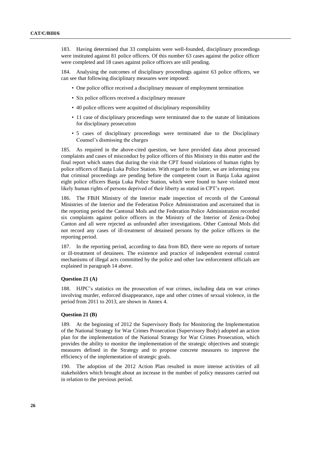183. Having determined that 33 complaints were well-founded, disciplinary proceedings were instituted against 81 police officers. Of this number 63 cases against the police officer were completed and 18 cases against police officers are still pending.

184. Analysing the outcomes of disciplinary proceedings against 63 police officers, we can see that following disciplinary measures were imposed:

- One police office received a disciplinary measure of employment termination
- Six police officers received a disciplinary measure
- 40 police officers were acquitted of disciplinary responsibility
- 11 case of disciplinary proceedings were terminated due to the statute of limitations for disciplinary prosecution
- 5 cases of disciplinary proceedings were terminated due to the Disciplinary Counsel's dismissing the charges

185. As required in the above-cited question, we have provided data about processed complaints and cases of misconduct by police officers of this Ministry in this matter and the final report which states that during the visit the CPT found violations of human rights by police officers of Banja Luka Police Station. With regard to the latter, we are informing you that criminal proceedings are pending before the competent court in Banja Luka against eight police officers Banja Luka Police Station, which were found to have violated most likely human rights of persons deprived of their liberty as stated in CPT's report.

186. The FBiH Ministry of the Interior made inspection of records of the Cantonal Ministries of the Interior and the Federation Police Administration and ascertained that in the reporting period the Cantonal MoIs and the Federation Police Administration recorded six complaints against police officers in the Ministry of the Interior of Zenica-Doboj Canton and all were rejected as unfounded after investigations. Other Cantonal MoIs did not record any cases of ill-treatment of detained persons by the police officers in the reporting period.

187. In the reporting period, according to data from BD, there were no reports of torture or ill-treatment of detainees. The existence and practice of independent external control mechanisms of illegal acts committed by the police and other law enforcement officials are explained in paragraph 14 above.

## **Question 21 (A)**

188. HJPC's statistics on the prosecution of war crimes, including data on war crimes involving murder, enforced disappearance, rape and other crimes of sexual violence, in the period from 2011 to 2013, are shown in Annex 4.

## **Question 21 (B)**

189. At the beginning of 2012 the Supervisory Body for Monitoring the Implementation of the National Strategy for War Crimes Prosecution (Supervisory Body) adopted an action plan for the implementation of the National Strategy for War Crimes Prosecution, which provides the ability to monitor the implementation of the strategic objectives and strategic measures defined in the Strategy and to propose concrete measures to improve the efficiency of the implementation of strategic goals.

190. The adoption of the 2012 Action Plan resulted in more intense activities of all stakeholders which brought about an increase in the number of policy measures carried out in relation to the previous period.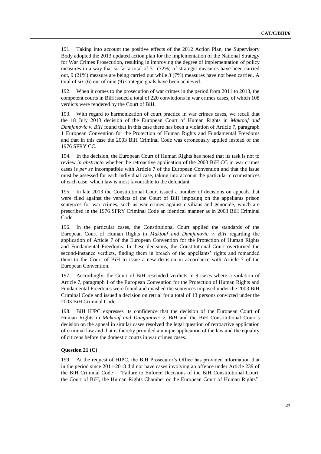191. Taking into account the positive effects of the 2012 Action Plan, the Supervisory Body adopted the 2013 updated action plan for the implementation of the National Strategy for War Crimes Prosecution, resulting in improving the degree of implementation of policy measures in a way that so far a total of 31 (72%) of strategic measures have been carried out, 9 (21%) measure are being carried out while 3 (7%) measures have not been carried. A total of six (6) out of nine (9) strategic goals have been achieved.

192. When it comes to the prosecution of war crimes in the period from 2011 to 2013, the competent courts in BiH issued a total of 220 convictions in war crimes cases, of which 108 verdicts were rendered by the Court of BiH.

193. With regard to harmonization of court practice in war crimes cases, we recall that the 18 July 2013 decision of the European Court of Human Rights in *Maktouf and Damjanovic v. BiH* found that in this case there has been a violation of Article 7, paragraph 1 European Convention for the Protection of Human Rights and Fundamental Freedoms and that in this case the 2003 BiH Criminal Code was erroneously applied instead of the 1976 SFRY CC.

194. In the decision, the European Court of Human Rights has noted that its task is not to review *in abstracto* whether the retroactive application of the 2003 BiH CC in war crimes cases is *per se* incompatible with Article 7 of the European Convention and that the issue must be assessed for each individual case, taking into account the particular circumstances of each case, which law is most favourable to the defendant.

195. In late 2013 the Constitutional Court issued a number of decisions on appeals that were filed against the verdicts of the Court of BiH imposing on the appellants prison sentences for war crimes, such as war crimes against civilians and genocide, which are prescribed in the 1976 SFRY Criminal Code an identical manner as in 2003 BiH Criminal Code.

196. In the particular cases, the Constitutional Court applied the standards of the European Court of Human Rights in *Maktouf and Damjanovic v. BiH* regarding the application of Article 7 of the European Convention for the Protection of Human Rights and Fundamental Freedoms. In these decisions, the Constitutional Court overturned the second-instance verdicts, finding them in breach of the appellants' rights and remanded them to the Court of BiH to issue a new decision in accordance with Article 7 of the European Convention.

197. Accordingly, the Court of BiH rescinded verdicts in 9 cases where a violation of Article 7, paragraph 1 of the European Convention for the Protection of Human Rights and Fundamental Freedoms were found and quashed the sentences imposed under the 2003 BiH Criminal Code and issued a decision on retrial for a total of 13 persons convicted under the 2003 BiH Criminal Code.

198. BiH HJPC expresses its confidence that the decision of the European Court of Human Rights in *Maktouf and Damjanovic v. BiH* and the BiH Constitutional Court's decision on the appeal in similar cases resolved the legal question of retroactive application of criminal law and that is thereby provided a unique application of the law and the equality of citizens before the domestic courts in war crimes cases.

## **Question 21 (C)**

199. At the request of HJPC, the BiH Prosecutor's Office has provided information that in the period since 2011-2013 did not have cases involving an offence under Article 239 of the BiH Criminal Code – "Failure to Enforce Decisions of the BiH Constitutional Court, the Court of BiH, the Human Rights Chamber or the European Court of Human Rights",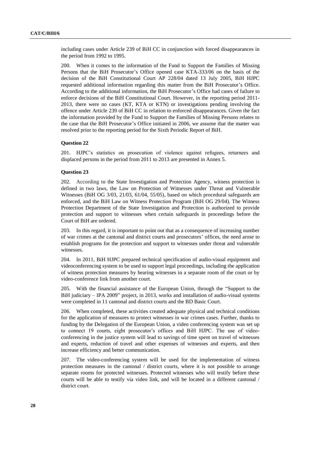including cases under Article 239 of BiH CC in conjunction with forced disappearances in the period from 1992 to 1995.

200. When it comes to the information of the Fund to Support the Families of Missing Persons that the BiH Prosecutor's Office opened case KTA-333/06 on the basis of the decision of the BiH Constitutional Court AP 228/04 dated 13 July 2005, BiH HJPC requested additional information regarding this matter from the BiH Prosecutor's Office. According to the additional information, the BiH Prosecutor's Office had cases of failure to enforce decisions of the BiH Constitutional Court. However, in the reporting period 2011- 2013, there were no cases (KT, KTA or KTN) or investigations pending involving the offence under Article 239 of BiH CC in relation to enforced disappearances. Given the fact the information provided by the Fund to Support the Families of Missing Persons relates to the case that the BiH Prosecutor's Office initiated in 2006, we assume that the matter was resolved prior to the reporting period for the Sixth Periodic Report of BiH.

#### **Question 22**

201. HJPC's statistics on prosecution of violence against refugees, returnees and displaced persons in the period from 2011 to 2013 are presented in Annex 5.

#### **Question 23**

202. According to the State Investigation and Protection Agency, witness protection is defined in two laws, the Law on Protection of Witnesses under Threat and Vulnerable Witnesses (BiH OG 3/03, 21/03, 61/04, 55/05), based on which procedural safeguards are enforced, and the BiH Law on Witness Protection Program (BiH OG 29/04). The Witness Protection Department of the State Investigation and Protection is authorized to provide protection and support to witnesses when certain safeguards in proceedings before the Court of BiH are ordered.

203. In this regard, it is important to point out that as a consequence of increasing number of war crimes at the cantonal and district courts and prosecutors' offices, the need arose to establish programs for the protection and support to witnesses under threat and vulnerable witnesses.

204. In 2011, BiH HJPC prepared technical specification of audio-visual equipment and videoconferencing system to be used to support legal proceedings, including the application of witness protection measures by hearing witnesses in a separate room of the court or by video-conference link from another court.

205. With the financial assistance of the European Union, through the "Support to the BiH judiciary – IPA 2009" project, in 2013, works and installation of audio-visual systems were completed in 11 cantonal and district courts and the BD Basic Court.

206. When completed, these activities created adequate physical and technical conditions for the application of measures to protect witnesses in war crimes cases. Further, thanks to funding by the Delegation of the European Union, a video conferencing system was set up to connect 19 courts, eight prosecutor's offices and BiH HJPC. The use of videoconferencing in the justice system will lead to savings of time spent on travel of witnesses and experts, reduction of travel and other expenses of witnesses and experts, and then increase efficiency and better communication.

207. The video-conferencing system will be used for the implementation of witness protection measures in the cantonal / district courts, where it is not possible to arrange separate rooms for protected witnesses. Protected witnesses who will testify before these courts will be able to testify via video link, and will be located in a different cantonal / district court.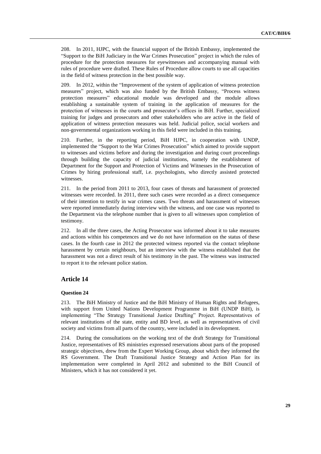208. In 2011, HJPC, with the financial support of the British Embassy, implemented the "Support to the BiH Judiciary in the War Crimes Prosecution" project in which the rules of procedure for the protection measures for eyewitnesses and accompanying manual with rules of procedure were drafted. These Rules of Procedure allow courts to use all capacities in the field of witness protection in the best possible way.

In 2012, within the "Improvement of the system of application of witness protection measures" project, which was also funded by the British Embassy, "Process witness protection measures" educational module was developed and the module allows establishing a sustainable system of training in the application of measures for the protection of witnesses in the courts and prosecutor's offices in BiH. Further, specialized training for judges and prosecutors and other stakeholders who are active in the field of application of witness protection measures was held. Judicial police, social workers and non-governmental organizations working in this field were included in this training.

210. Further, in the reporting period, BiH HJPC, in cooperation with UNDP, implemented the "Support to the War Crimes Prosecution" which aimed to provide support to witnesses and victims before and during the investigation and during court proceedings through building the capacity of judicial institutions, namely the establishment of Department for the Support and Protection of Victims and Witnesses in the Prosecution of Crimes by hiring professional staff, i.e. psychologists, who directly assisted protected witnesses.

211. In the period from 2011 to 2013, four cases of threats and harassment of protected witnesses were recorded. In 2011, three such cases were recorded as a direct consequence of their intention to testify in war crimes cases. Two threats and harassment of witnesses were reported immediately during interview with the witness, and one case was reported to the Department via the telephone number that is given to all witnesses upon completion of testimony.

212. In all the three cases, the Acting Prosecutor was informed about it to take measures and actions within his competences and we do not have information on the status of these cases. In the fourth case in 2012 the protected witness reported via the contact telephone harassment by certain neighbours, but an interview with the witness established that the harassment was not a direct result of his testimony in the past. The witness was instructed to report it to the relevant police station.

## **Article 14**

## **Question 24**

213. The BiH Ministry of Justice and the BiH Ministry of Human Rights and Refugees, with support from United Nations Development Programme in BiH (UNDP BiH), is implementing "The Strategy Transitional Justice Drafting" Project. Representatives of relevant institutions of the state, entity and BD level, as well as representatives of civil society and victims from all parts of the country, were included in its development.

214. During the consultations on the working text of the draft Strategy for Transitional Justice, representatives of RS ministries expressed reservations about parts of the proposed strategic objectives, drew from the Expert Working Group, about which they informed the RS Government. The Draft Transitional Justice Strategy and Action Plan for its implementation were completed in April 2012 and submitted to the BiH Council of Ministers, which it has not considered it yet.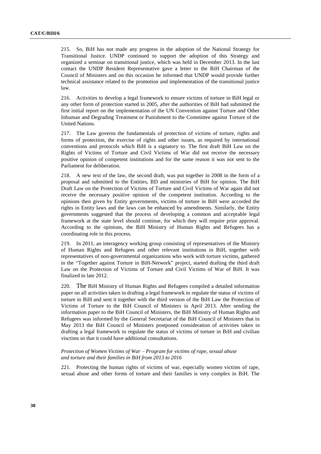215. So, BiH has not made any progress in the adoption of the National Strategy for Transitional Justice. UNDP continued to support the adoption of this Strategy and organized a seminar on transitional justice, which was held in December 2013. In the last contact the UNDP Resident Representative gave a letter to the BiH Chairman of the Council of Ministers and on this occasion he informed that UNDP would provide further technical assistance related to the promotion and implementation of the transitional justice law.

216. Activities to develop a legal framework to ensure victims of torture in BiH legal or any other form of protection started in 2005, after the authorities of BiH had submitted the first initial report on the implementation of the UN Convention against Torture and Other Inhuman and Degrading Treatment or Punishment to the Committee against Torture of the United Nations.

217. The Law governs the fundamentals of protection of victims of torture, rights and forms of protection, the exercise of rights and other issues, as required by international conventions and protocols which BiH is a signatory to. The first draft BiH Law on the Rights of Victims of Torture and Civil Victims of War did not receive the necessary positive opinion of competent institutions and for the same reason it was not sent to the Parliament for deliberation.

218. A new text of the law, the second draft, was put together in 2008 in the form of a proposal and submitted to the Entities, BD and ministries of BiH for opinion. The BiH Draft Law on the Protection of Victims of Torture and Civil Victims of War again did not receive the necessary positive opinion of the competent institution. According to the opinions then given by Entity governments, victims of torture in BiH were accorded the rights in Entity laws and the laws can be enhanced by amendments. Similarly, the Entity governments suggested that the process of developing a common and acceptable legal framework at the state level should continue, for which they will require prior approval. According to the opinions, the BiH Ministry of Human Rights and Refugees has a coordinating role in this process.

219. In 2011, an interagency working group consisting of representatives of the Ministry of Human Rights and Refugees and other relevant institutions in BiH, together with representatives of non-governmental organizations who work with torture victims, gathered in the "Together against Torture in BiH-Network" project, started drafting the third draft Law on the Protection of Victims of Torture and Civil Victims of War of BiH. It was finalized in late 2012.

220. The BiH Ministry of Human Rights and Refugees compiled a detailed information paper on all activities taken in drafting a legal framework to regulate the status of victims of torture in BiH and sent it together with the third version of the BiH Law the Protection of Victims of Torture to the BiH Council of Ministers in April 2013. After sending the information paper to the BiH Council of Ministers, the BiH Ministry of Human Rights and Refugees was informed by the General Secretariat of the BiH Council of Ministers that in May 2013 the BiH Council of Ministers postponed consideration of activities taken in drafting a legal framework to regulate the status of victims of torture in BiH and civilian visctims so that it could have additional consultations.

*Protection of Women Victims of War – Program for victims of rape, sexual abuse and torture and their families in BiH from 2013 to 2016*

221. Protecting the human rights of victims of war, especially women victims of rape, sexual abuse and other forms of torture and their families is very complex in BiH. The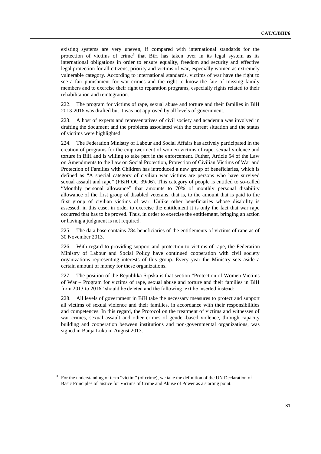existing systems are very uneven, if compared with international standards for the protection of victims of crime<sup>3</sup> that BiH has taken over in its legal system as its international obligations in order to ensure equality, freedom and security and effective legal protection for all citizens, priority and victims of war, especially women as extremely vulnerable category. According to international standards, victims of war have the right to see a fair punishment for war crimes and the right to know the fate of missing family members and to exercise their right to reparation programs, especially rights related to their rehabilitation and reintegration.

222. The program for victims of rape, sexual abuse and torture and their families in BiH 2013-2016 was drafted but it was not approved by all levels of government.

223. A host of experts and representatives of civil society and academia was involved in drafting the document and the problems associated with the current situation and the status of victims were highlighted.

224. The Federation Ministry of Labour and Social Affairs has actively participated in the creation of programs for the empowerment of women victims of rape, sexual violence and torture in BiH and is willing to take part in the enforcement. Futher, Article 54 of the Law on Amendments to the Law on Social Protection, Protection of Civilian Victims of War and Protection of Families with Children has introduced a new group of beneficiaries, which is defined as "A special category of civilian war victims are persons who have survived sexual assault and rape" (FBiH OG 39/06). This category of people is entitled to so-called "Monthly personal allowance" that amounts to 70% of monthly personal disability allowance of the first group of disabled veterans, that is, to the amount that is paid to the first group of civilian victims of war. Unlike other beneficiaries whose disability is assessed, in this case, in order to exercise the entitlement it is only the fact that war rape occurred that has to be proved. Thus, in order to exercise the entitlement, bringing an action or having a judgment is not required.

225. The data base contains 784 beneficiaries of the entitlements of victims of rape as of 30 November 2013.

226. With regard to providing support and protection to victims of rape, the Federation Ministry of Labour and Social Policy have continued cooperation with civil society organizations representing interests of this group. Every year the Ministry sets aside a certain amount of money for these organizations.

227. The position of the Republika Srpska is that section "Protection of Women Victims of War – Program for victims of rape, sexual abuse and torture and their families in BiH from 2013 to 2016" should be deleted and the following text be inserted instead:

228. All levels of government in BiH take the necessary measures to protect and support all victims of sexual violence and their families, in accordance with their responsibilities and competences. In this regard, the Protocol on the treatment of victims and witnesses of war crimes, sexual assault and other crimes of gender-based violence, through capacity building and cooperation between institutions and non-governmental organizations, was signed in Banja Luka in August 2013.

<sup>&</sup>lt;sup>3</sup> For the understanding of term "victim" (of crime), we take the definition of the UN Declaration of Basic Principles of Justice for Victims of Crime and Abuse of Power as a starting point.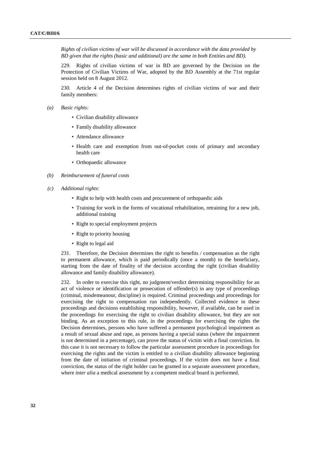*Rights of civilian victims of war will be discussed in accordance with the data provided by BD given that the rights (basic and additional) are the same in both Entities and BD).*

229. Rights of civilian victims of war in BD are governed by the Decision on the Protection of Civilian Victims of War, adopted by the BD Assembly at the 71st regular session held on 8 August 2012.

230. Article 4 of the Decision determines rights of civilian victims of war and their family members:

- *(a) Basic rights:*
	- Civilian disability allowance
	- Family disability allowance
	- Attendance allowance
	- Health care and exemption from out-of-pocket costs of primary and secondary health care
	- Orthopaedic allowance
- *(b) Reimbursement of funeral costs*
- *(c) Additional rights:*
	- Right to help with health costs and procurement of orthopaedic aids
	- Training for work in the forms of vocational rehabilitation, retraining for a new job, additional training
	- Right to special employment projects
	- Right to priority housing
	- Right to legal aid

231. Therefore, the Decision determines the right to benefits / compensation as the right to permanent allowance, which is paid periodically (once a month) to the beneficiary, starting from the date of finality of the decision according the right (civilian disability allowance and family disability allowance).

232. In order to exercise this right, no judgment/verdict determining responsibility for an act of violence or identification or prosecution of offender(s) in any type of proceedings (criminal, misdemeanour, discipline) is required. Criminal proceedings and proceedings for exercising the right to compensation run independently. Collected evidence in these proceedings and decisions establishing responsibility, however, if available, can be used in the proceedings for exercising the right to civilian disability allowance, but they are not binding. As an exception to this rule, in the proceedings for exercising the rights the Decision determines, persons who have suffered a permanent psychological impairment as a result of sexual abuse and rape, as persons having a special status (where the impairment is not determined in a percentage), can prove the status of victim with a final conviction. In this case it is not necessary to follow the particular assessment procedure in proceedings for exercising the rights and the victim is entitled to a civilian disability allowance beginning from the date of initiation of criminal proceedings. If the victim does not have a final conviction, the status of the right holder can be granted in a separate assessment procedure, where *inter alia* a medical assessment by a competent medical board is performed.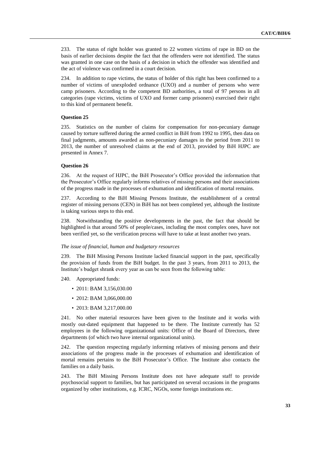233. The status of right holder was granted to 22 women victims of rape in BD on the basis of earlier decisions despite the fact that the offenders were not identified. The status was granted in one case on the basis of a decision in which the offender was identified and the act of violence was confirmed in a court decision.

234. In addition to rape victims, the status of holder of this right has been confirmed to a number of victims of unexploded ordnance (UXO) and a number of persons who were camp prisoners. According to the competent BD authorities, a total of 97 persons in all categories (rape victims, victims of UXO and former camp prisoners) exercised their right to this kind of permanent benefit.

## **Question 25**

235. Statistics on the number of claims for compensation for non-pecuniary damage caused by torture suffered during the armed conflict in BiH from 1992 to 1995, then data on final judgments, amounts awarded as non-pecuniary damages in the period from 2011 to 2013, the number of unresolved claims at the end of 2013, provided by BiH HJPC are presented in Annex 7.

#### **Question 26**

236. At the request of HJPC, the BiH Prosecutor's Office provided the information that the Prosecutor's Office regularly informs relatives of missing persons and their associations of the progress made in the processes of exhumation and identification of mortal remains.

237. According to the BiH Missing Persons Institute, the establishment of a central register of missing persons (CEN) in BiH has not been completed yet, although the Institute is taking various steps to this end.

238. Notwithstanding the positive developments in the past, the fact that should be highlighted is that around 50% of people/cases, including the most complex ones, have not been verified yet, so the verification process will have to take at least another two years.

#### *The issue of financial, human and budgetary resources*

239. The BiH Missing Persons Institute lacked financial support in the past, specifically the provision of funds from the BiH budget. In the past 3 years, from 2011 to 2013, the Institute's budget shrank every year as can be seen from the following table:

240. Appropriated funds:

- 2011: BAM 3,156,030.00
- 2012: BAM 3,066,000.00
- 2013: BAM 3,217,000.00

241. No other material resources have been given to the Institute and it works with mostly out-dated equipment that happened to be there. The Institute currently has 52 employees in the following organizational units: Office of the Board of Directors, three departments (of which two have internal organizational units).

242. The question respecting regularly informing relatives of missing persons and their associations of the progress made in the processes of exhumation and identification of mortal remains pertains to the BiH Prosecutor's Office. The Institute also contacts the families on a daily basis.

243. The BiH Missing Persons Institute does not have adequate staff to provide psychosocial support to families, but has participated on several occasions in the programs organized by other institutions, e.g. ICRC, NGOs, some foreign institutions etc.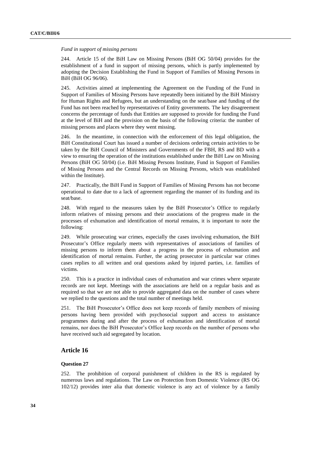## *Fund in support of missing persons*

244. Article 15 of the BiH Law on Missing Persons (BiH OG 50/04) provides for the establishment of a fund in support of missing persons, which is partly implemented by adopting the Decision Establishing the Fund in Support of Families of Missing Persons in BiH (BiH OG 96/06).

245. Activities aimed at implementing the Agreement on the Funding of the Fund in Support of Families of Missing Persons have repeatedly been initiated by the BiH Ministry for Human Rights and Refugees, but an understanding on the seat/base and funding of the Fund has not been reached by representatives of Entity governments. The key disagreement concerns the percentage of funds that Entities are supposed to provide for funding the Fund at the level of BiH and the provision on the basis of the following criteria: the number of missing persons and places where they went missing.

246. In the meantime, in connection with the enforcement of this legal obligation, the BiH Constitutional Court has issued a number of decisions ordering certain activities to be taken by the BiH Council of Ministers and Governments of the FBH, RS and BD with a view to ensuring the operation of the institutions established under the BiH Law on Missing Persons (BiH OG 50/04) (i.e. BiH Missing Persons Institute, Fund in Support of Families of Missing Persons and the Central Records on Missing Persons, which was established within the Institute).

247. Practically, the BiH Fund in Support of Families of Missing Persons has not become operational to date due to a lack of agreement regarding the manner of its funding and its seat/base.

248. With regard to the measures taken by the BiH Prosecutor's Office to regularly inform relatives of missing persons and their associations of the progress made in the processes of exhumation and identification of mortal remains, it is important to note the following:

249. While prosecuting war crimes, especially the cases involving exhumation, the BiH Prosecutor's Office regularly meets with representatives of associations of families of missing persons to inform them about a progress in the process of exhumation and identification of mortal remains. Further, the acting prosecutor in particular war crimes cases replies to all written and oral questions asked by injured parties, i.e. families of victims.

250. This is a practice in individual cases of exhumation and war crimes where separate records are not kept. Meetings with the associations are held on a regular basis and as required so that we are not able to provide aggregated data on the number of cases where we replied to the questions and the total number of meetings held.

251. The BiH Prosecutor's Office does not keep records of family members of missing persons having been provided with psychosocial support and access to assistance programmes during and after the process of exhumation and identification of mortal remains, nor does the BiH Prosecutor's Office keep records on the number of persons who have received such aid segregated by location.

## **Article 16**

## **Question 27**

252. The prohibition of corporal punishment of children in the RS is regulated by numerous laws and regulations. The Law on Protection from Domestic Violence (RS OG 102/12) provides inter alia that domestic violence is any act of violence by a family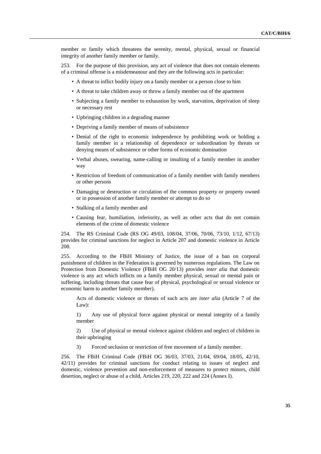member or family which threatens the serenity, mental, physical, sexual or financial integrity of another family member or family.

253. For the purpose of this provision, any act of violence that does not contain elements of a criminal offense is a misdemeanour and they are the following acts in particular:

- A threat to inflict bodily injury on a family member or a person close to him
- A threat to take children away or throw a family member out of the apartment
- Subjecting a family member to exhaustion by work, starvation, deprivation of sleep or necessary rest
- Upbringing children in a degrading manner
- Depriving a family member of means of subsistence
- Denial of the right to economic independence by prohibiting work or holding a family member in a relationship of dependence or subordination by threats or denying means of subsistence or other forms of economic domination
- Verbal abuses, swearing, name-calling or insulting of a family member in another way
- Restriction of freedom of communication of a family member with family members or other persons
- Damaging or destruction or circulation of the common property or property owned or in possession of another family member or attempt to do so
- Stalking of a family member and
- Causing fear, humiliation, inferiority, as well as other acts that do not contain elements of the crime of domestic violence

254. The RS Criminal Code (RS OG 49/03, 108/04, 37/06, 70/06, 73/10, 1/12, 67/13) provides for criminal sanctions for neglect in Article 207 and domestic violence in Article 208.

255. According to the FBiH Ministry of Justice, the issue of a ban on corporal punishment of children in the Federation is governed by numerous regulations. The Law on Protection from Domestic Violence (FBiH OG 20/13) provides *inter alia* that domestic violence is any act which inflicts on a family member physical, sexual or mental pain or suffering, including threats that cause fear of physical, psychological or sexual violence or economic harm to another family member).

Acts of domestic violence or threats of such acts are *inter alia* (Article 7 of the Law):

1) Any use of physical force against physical or mental integrity of a family member

2) Use of physical or mental violence against children and neglect of children in their upbringing

3) Forced seclusion or restriction of free movement of a family member.

256. The FBiH Criminal Code (FBiH OG 36/03, 37/03, 21/04, 69/04, 18/05, 42/10, 42/11) provides for criminal sanctions for conduct relating to issues of neglect and domestic, violence prevention and non-enforcement of measures to protect minors, child desertion, neglect or abuse of a child, Articles 219, 220, 222 and 224 (Annex I).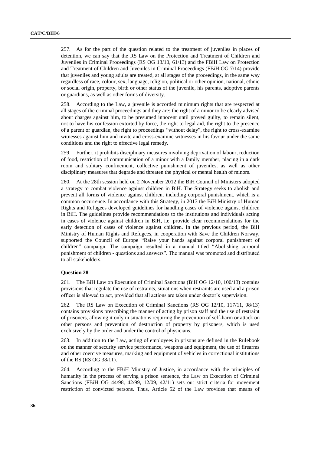257. As for the part of the question related to the treatment of juveniles in places of detention, we can say that the RS Law on the Protection and Treatment of Children and Juveniles in Criminal Proceedings (RS OG 13/10, 61/13) and the FBiH Law on Protection and Treatment of Children and Juveniles in Criminal Proceedings (FBiH OG 7/14) provide that juveniles and young adults are treated, at all stages of the proceedings, in the same way regardless of race, colour, sex, language, religion, political or other opinion, national, ethnic or social origin, property, birth or other status of the juvenile, his parents, adoptive parents or guardians, as well as other forms of diversity.

258. According to the Law, a juvenile is accorded minimum rights that are respected at all stages of the criminal proceedings and they are: the right of a minor to be clearly advised about charges against him, to be presumed innocent until proved guilty, to remain silent, not to have his confession extorted by force, the right to legal aid, the right to the presence of a parent or guardian, the right to proceedings "without delay", the right to cross-examine witnesses against him and invite and cross-examine witnesses in his favour under the same conditions and the right to effective legal remedy.

259. Further, it prohibits disciplinary measures involving deprivation of labour, reduction of food, restriction of communication of a minor with a family member, placing in a dark room and solitary confinement, collective punishment of juveniles, as well as other disciplinary measures that degrade and threaten the physical or mental health of minors.

260. At the 28th session held on 2 November 2012 the BiH Council of Ministers adopted a strategy to combat violence against children in BiH. The Strategy seeks to abolish and prevent all forms of violence against children, including corporal punishment, which is a common occurrence. In accordance with this Strategy, in 2013 the BiH Ministry of Human Rights and Refugees developed guidelines for handling cases of violence against children in BiH. The guidelines provide recommendations to the institutions and individuals acting in cases of violence against children in BiH, i.e. provide clear recommendations for the early detection of cases of violence against children. In the previous period, the BiH Ministry of Human Rights and Refugees, in cooperation with Save the Children Norway, supported the Council of Europe "Raise your hands against corporal punishment of children" campaign. The campaign resulted in a manual titled "Abolishing corporal punishment of children - questions and answers". The manual was promoted and distributed to all stakeholders.

#### **Question 28**

261. The BiH Law on Execution of Criminal Sanctions (BiH OG 12/10, 100/13) contains provisions that regulate the use of restraints, situations when restraints are used and a prison officer is allowed to act, provided that all actions are taken under doctor's supervision.

262. The RS Law on Execution of Criminal Sanctions (RS OG 12/10, 117/11, 98/13) contains provisions prescribing the manner of acting by prison staff and the use of restraint of prisoners, allowing it only in situations requiring the prevention of self-harm or attack on other persons and prevention of destruction of property by prisoners, which is used exclusively by the order and under the control of physicians.

263. In addition to the Law, acting of employees in prisons are defined in the Rulebook on the manner of security service performance, weapons and equipment, the use of firearms and other coercive measures, marking and equipment of vehicles in correctional institutions of the RS (RS OG 38/11).

264. According to the FBiH Ministry of Justice, in accordance with the principles of humanity in the process of serving a prison sentence, the Law on Execution of Criminal Sanctions (FBiH OG 44/98, 42/99, 12/09, 42/11) sets out strict criteria for movement restriction of convicted persons. Thus, Article 52 of the Law provides that means of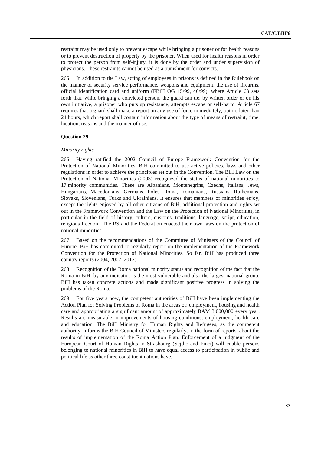restraint may be used only to prevent escape while bringing a prisoner or for health reasons or to prevent destruction of property by the prisoner. When used for health reasons in order to protect the person from self-injury, it is done by the order and under supervision of physicians. These restraints cannot be used as a punishment for convicts.

265. In addition to the Law, acting of employees in prisons is defined in the Rulebook on the manner of security service performance, weapons and equipment, the use of firearms, official identification card and uniform (FBiH OG 15/99, 46/99), where Article 63 sets forth that, while bringing a convicted person, the guard can tie, by written order or on his own initiative, a prisoner who puts up resistance, attempts escape or self-harm. Article 67 requires that a guard shall make a report on any use of force immediately, but no later than 24 hours, which report shall contain information about the type of means of restraint, time, location, reasons and the manner of use.

#### **Question 29**

#### *Minority rights*

266. Having ratified the 2002 Council of Europe Framework Convention for the Protection of National Minorities, BiH committed to use active policies, laws and other regulations in order to achieve the principles set out in the Convention. The BiH Law on the Protection of National Minorities (2003) recognized the status of national minorities to 17 minority communities. These are Albanians, Montenegrins, Czechs, Italians, Jews, Hungarians, Macedonians, Germans, Poles, Roma, Romanians, Russians, Ruthenians, Slovaks, Slovenians, Turks and Ukrainians. It ensures that members of minorities enjoy, except the rights enjoyed by all other citizens of BiH, additional protection and rights set out in the Framework Convention and the Law on the Protection of National Minorities, in particular in the field of history, culture, customs, traditions, language, script, education, religious freedom. The RS and the Federation enacted their own laws on the protection of national minorities.

267. Based on the recommendations of the Committee of Ministers of the Council of Europe, BiH has committed to regularly report on the implementation of the Framework Convention for the Protection of National Minorities. So far, BiH has produced three country reports (2004, 2007, 2012).

268. Recognition of the Roma national minority status and recognition of the fact that the Roma in BiH, by any indicator, is the most vulnerable and also the largest national group, BiH has taken concrete actions and made significant positive progress in solving the problems of the Roma.

269. For five years now, the competent authorities of BiH have been implementing the Action Plan for Solving Problems of Roma in the areas of: employment, housing and health care and appropriating a significant amount of approximately BAM 3,000,000 every year. Results are measurable in improvements of housing conditions, employment, health care and education. The BiH Ministry for Human Rights and Refugees, as the competent authority, informs the BiH Council of Ministers regularly, in the form of reports, about the results of implementation of the Roma Action Plan. Enforcement of a judgment of the European Court of Human Rights in Strasbourg (Sejdic and Finci) will enable persons belonging to national minorities in BiH to have equal access to participation in public and political life as other three constituent nations have.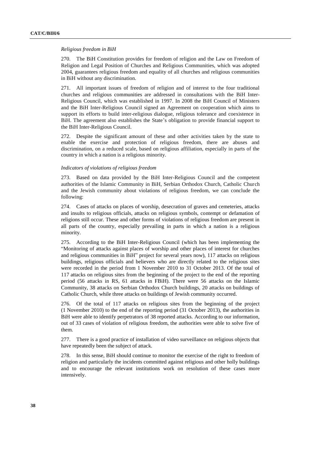#### *Religious freedom in BiH*

270. The BiH Constitution provides for freedom of religion and the Law on Freedom of Religion and Legal Position of Churches and Religious Communities, which was adopted 2004, guarantees religious freedom and equality of all churches and religious communities in BiH without any discrimination.

271. All important issues of freedom of religion and of interest to the four traditional churches and religious communities are addressed in consultations with the BiH Inter-Religious Council, which was established in 1997. In 2008 the BiH Council of Ministers and the BiH Inter-Religious Council signed an Agreement on cooperation which aims to support its efforts to build inter-religious dialogue, religious tolerance and coexistence in BiH. The agreement also establishes the State's obligation to provide financial support to the BiH Inter-Religious Council.

272. Despite the significant amount of these and other activities taken by the state to enable the exercise and protection of religious freedom, there are abuses and discrimination, on a reduced scale, based on religious affiliation, especially in parts of the country in which a nation is a religious minority.

## *Indicators of violations of religious freedom*

273. Based on data provided by the BiH Inter-Religious Council and the competent authorities of the Islamic Community in BiH, Serbian Orthodox Church, Catholic Church and the Jewish community about violations of religious freedom, we can conclude the following:

274. Cases of attacks on places of worship, desecration of graves and cemeteries, attacks and insults to religious officials, attacks on religious symbols, contempt or defamation of religions still occur. These and other forms of violations of religious freedom are present in all parts of the country, especially prevailing in parts in which a nation is a religious minority.

275. According to the BiH Inter-Religious Council (which has been implementing the "Monitoring of attacks against places of worship and other places of interest for churches and religious communities in BiH" project for several years now), 117 attacks on religious buildings, religious officials and believers who are directly related to the religious sites were recorded in the period from 1 November 2010 to 31 October 2013. Of the total of 117 attacks on religious sites from the beginning of the project to the end of the reporting period (56 attacks in RS, 61 attacks in FBiH). There were 56 attacks on the Islamic Community, 38 attacks on Serbian Orthodox Church buildings, 20 attacks on buildings of Catholic Church, while three attacks on buildings of Jewish community occurred.

276. Of the total of 117 attacks on religious sites from the beginning of the project (1 November 2010) to the end of the reporting period (31 October 2013), the authorities in BiH were able to identify perpetrators of 38 reported attacks. According to our information, out of 33 cases of violation of religious freedom, the authorities were able to solve five of them.

277. There is a good practice of installation of video surveillance on religious objects that have repeatedly been the subject of attack.

278. In this sense, BiH should continue to monitor the exercise of the right to freedom of religion and particularly the incidents committed against religious and other holly buildings and to encourage the relevant institutions work on resolution of these cases more intensively.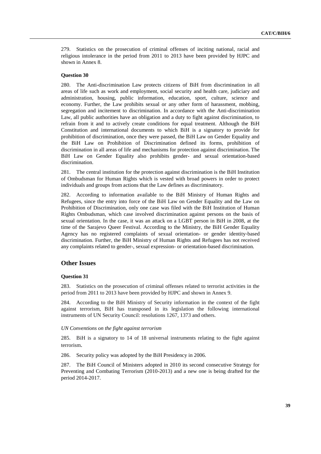279. Statistics on the prosecution of criminal offenses of inciting national, racial and religious intolerance in the period from 2011 to 2013 have been provided by HJPC and shown in Annex 8.

## **Question 30**

280. The Anti-discrimination Law protects citizens of BiH from discrimination in all areas of life such as work and employment, social security and health care, judiciary and administration, housing, public information, education, sport, culture, science and economy. Further, the Law prohibits sexual or any other form of harassment, mobbing, segregation and incitement to discrimination. In accordance with the Anti-discrimination Law, all public authorities have an obligation and a duty to fight against discrimination, to refrain from it and to actively create conditions for equal treatment. Although the BiH Constitution and international documents to which BiH is a signatory to provide for prohibition of discrimination, once they were passed, the BiH Law on Gender Equality and the BiH Law on Prohibition of Discrimination defined its forms, prohibition of discrimination in all areas of life and mechanisms for protection against discrimination. The BiH Law on Gender Equality also prohibits gender- and sexual orientation-based discrimination.

281. The central institution for the protection against discrimination is the BiH Institution of Ombudsman for Human Rights which is vested with broad powers in order to protect individuals and groups from actions that the Law defines as discriminatory.

282. According to information available to the BiH Ministry of Human Rights and Refugees, since the entry into force of the BiH Law on Gender Equality and the Law on Prohibition of Discrimination, only one case was filed with the BiH Institution of Human Rights Ombudsman, which case involved discrimination against persons on the basis of sexual orientation. In the case, it was an attack on a LGBT person in BiH in 2008, at the time of the Sarajevo Queer Festival. According to the Ministry, the BiH Gender Equality Agency has no registered complaints of sexual orientation- or gender identity-based discrimination. Further, the BiH Ministry of Human Rights and Refugees has not received any complaints related to gender-, sexual expression- or orientation-based discrimination.

## **Other Issues**

## **Question 31**

283. Statistics on the prosecution of criminal offenses related to terrorist activities in the period from 2011 to 2013 have been provided by HJPC and shown in Annex 9.

284. According to the BiH Ministry of Security information in the context of the fight against terrorism, BiH has transposed in its legislation the following international instruments of UN Security Council: resolutions 1267, 1373 and others.

#### *UN Conventions on the fight against terrorism*

285. BiH is a signatory to 14 of 18 universal instruments relating to the fight against terrorism.

286. Security policy was adopted by the BiH Presidency in 2006.

287. The BiH Council of Ministers adopted in 2010 its second consecutive Strategy for Preventing and Combating Terrorism (2010-2013) and a new one is being drafted for the period 2014-2017.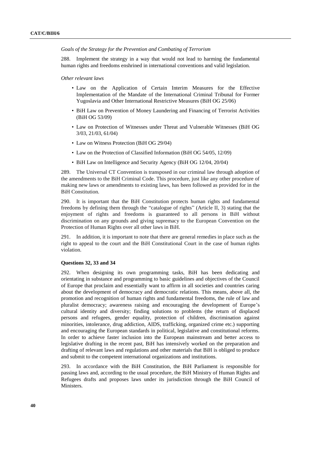#### *Goals of the Strategy for the Prevention and Combating of Terrorism*

288. Implement the strategy in a way that would not lead to harming the fundamental human rights and freedoms enshrined in international conventions and valid legislation.

*Other relevant laws*

- Law on the Application of Certain Interim Measures for the Effective Implementation of the Mandate of the International Criminal Tribunal for Former Yugoslavia and Other International Restrictive Measures (BiH OG 25/06)
- BiH Law on Prevention of Money Laundering and Financing of Terrorist Activities (BiH OG 53/09)
- Law on Protection of Witnesses under Threat and Vulnerable Witnesses (BiH OG 3/03, 21/03, 61/04)
- Law on Witness Protection (BiH OG 29/04)
- Law on the Protection of Classified Information (BiH OG 54/05, 12/09)
- BiH Law on Intelligence and Security Agency (BiH OG 12/04, 20/04)

289. The Universal CT Convention is transposed in our criminal law through adoption of the amendments to the BiH Criminal Code. This procedure, just like any other procedure of making new laws or amendments to existing laws, has been followed as provided for in the BiH Constitution.

290. It is important that the BiH Constitution protects human rights and fundamental freedoms by defining them through the "catalogue of rights" (Article II, 3) stating that the enjoyment of rights and freedoms is guaranteed to all persons in BiH without discrimination on any grounds and giving supremacy to the European Convention on the Protection of Human Rights over all other laws in BiH.

291. In addition, it is important to note that there are general remedies in place such as the right to appeal to the court and the BiH Constitutional Court in the case of human rights violation.

## **Questions 32, 33 and 34**

292. When designing its own programming tasks, BiH has been dedicating and orientating in substance and programming to basic guidelines and objectives of the Council of Europe that proclaim and essentially want to affirm in all societies and countries caring about the development of democracy and democratic relations. This means, above all, the promotion and recognition of human rights and fundamental freedoms, the rule of law and pluralist democracy; awareness raising and encouraging the development of Europe's cultural identity and diversity; finding solutions to problems (the return of displaced persons and refugees, gender equality, protection of children, discrimination against minorities, intolerance, drug addiction, AIDS, trafficking, organized crime etc.) supporting and encouraging the European standards in political, legislative and constitutional reforms. In order to achieve faster inclusion into the European mainstream and better access to legislative drafting in the recent past, BiH has intensively worked on the preparation and drafting of relevant laws and regulations and other materials that BiH is obliged to produce and submit to the competent international organizations and institutions.

293. In accordance with the BiH Constitution, the BiH Parliament is responsible for passing laws and, according to the usual procedure, the BiH Ministry of Human Rights and Refugees drafts and proposes laws under its jurisdiction through the BiH Council of Ministers.